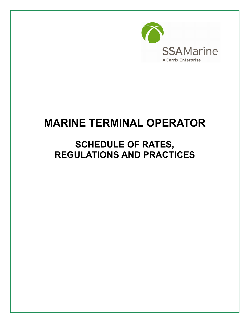

# **MARINE TERMINAL OPERATOR**

## **SCHEDULE OF RATES, REGULATIONS AND PRACTICES**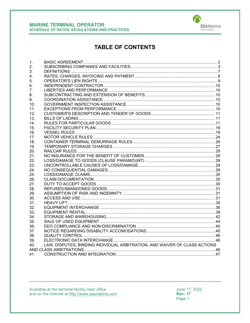

## **TABLE OF CONTENTS**

| 1.              |                                                                            |  |
|-----------------|----------------------------------------------------------------------------|--|
| 2.              |                                                                            |  |
| 3.              |                                                                            |  |
| 4 <sup>1</sup>  |                                                                            |  |
| 5.              |                                                                            |  |
| 6.              |                                                                            |  |
| 7.              |                                                                            |  |
| 8.              |                                                                            |  |
| 9.              |                                                                            |  |
| 10 <sub>1</sub> |                                                                            |  |
| 11.             |                                                                            |  |
| 12.             |                                                                            |  |
| 13.             |                                                                            |  |
| 14.             |                                                                            |  |
| 15.             |                                                                            |  |
| 16.             |                                                                            |  |
| 17.             |                                                                            |  |
| 18.             |                                                                            |  |
| 19.             |                                                                            |  |
| 20.             |                                                                            |  |
| 21.             |                                                                            |  |
| 22.             |                                                                            |  |
| 23.             |                                                                            |  |
| 24.             |                                                                            |  |
| 25.             |                                                                            |  |
| 26.             |                                                                            |  |
| 27.             |                                                                            |  |
| 28.             |                                                                            |  |
| 29.             |                                                                            |  |
| 30.             |                                                                            |  |
| 31.             |                                                                            |  |
| 32.             |                                                                            |  |
| 33.             |                                                                            |  |
| 34.             |                                                                            |  |
| 35.             |                                                                            |  |
| 36.             |                                                                            |  |
| 37.             |                                                                            |  |
| 38.             |                                                                            |  |
| 39.             |                                                                            |  |
| 40.             | LAW, DISPUTES, BINDING INDIVIDUAL ARBITRATION, AND WAIVER OF CLASS ACTIONS |  |
|                 |                                                                            |  |
| 41.             |                                                                            |  |

Available at the terminal facility main office<br>and on the internet at http://www.ssamarine.com

June 17, 2022 **Rev: 17** Page 1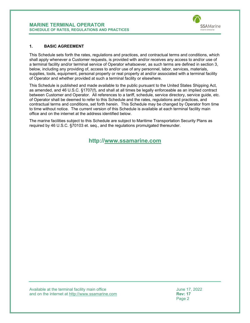

#### <span id="page-2-0"></span>**1. BASIC AGREEMENT**

This Schedule sets forth the rates, regulations and practices, and contractual terms and conditions, which shall apply whenever a Customer requests, is provided with and/or receives any access to and/or use of a terminal facility and/or terminal service of Operator whatsoever, as such terms are defined in section [3,](#page-7-0) below, including any providing of, access to and/or use of any personnel, labor, services, materials, supplies, tools, equipment, personal property or real property at and/or associated with a terminal facility of Operator and whether provided at such a terminal facility or elsewhere.

This Schedule is published and made available to the public pursuant to the United States Shipping Act, as amended, and 46 U.S.C. §1707(f), and shall at all times be legally enforceable as an implied contract between Customer and Operator. All references to a tariff, schedule, service directory, service guide, etc. of Operator shall be deemed to refer to this Schedule and the rates, regulations and practices, and contractual terms and conditions, set forth herein. This Schedule may be changed by Operator from time to time without notice. The current version of this Schedule is available at each terminal facility main office and on the internet at the address identified below.

The marine facilities subject to this Schedule are subject to Maritime Transportation Security Plans as required by 46 U.S.C. §70103 et. seq., and the regulations promulgated thereunder.

**http://www.ssamarine.com**

Available at the terminal facility main office<br>and on the internet at http://www.ssamarine.com<br>Rev: 17 and on the internet at <u>http://www.ssamarine.com</u><br>Page 2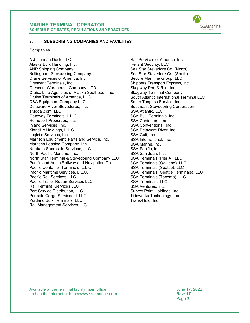

#### <span id="page-3-0"></span>**2. SUBSCRIBING COMPANIES AND FACILITIES**

#### **Companies**

A.J. Juneau Dock, LLC Alaska Bulk Handling, Inc. ANP Shipping Company Bellingham Stevedoring Company Crane Services of America, Inc. Crescent Terminals, Inc. Crescent Warehouse Company, LTD. Cruise Line Agencies of Alaska Southeast, Inc. Cruise Terminals of America, LLC CSA Equipment Company LLC Delaware River Stevedores, Inc. eModal.com, LLC Gateway Terminals, L.L.C. Homeport Properties, Inc. Inland Services, Inc. Klondike Holdings, L.L.C. Logistic Services, Inc. Maritech Equipment, Parts and Service, Inc. Maritech Leasing Company, Inc. Neptune Shoreside Services, LLC North Pacific Maritime, Inc. North Star Terminal & Stevedoring Company LLC Pacific and Arctic Railway and Navigation Co. Pacific Container Terminals, L.L.C. Pacific Maritime Services, L.L.C. Pacific Rail Services, LLC Pacific Trailer Repair Services LLC Rail Terminal Services LLC Port Service Distribution, LLC Portside Cargo Services II, LLC Portland Bulk Terminals, LLC Rail Management Services LLC

Rail Services of America, Inc. Reliant Security, LLC Sea Star Stevedore Co. (North) Sea Star Stevedore Co. (South) Secure Maritime Group, LLC Shippers Transport Express, Inc. Skagway Port & Rail, Inc. Skagway Terminal Company South Atlantic International Terminal LLC South Tongass Service, Inc. Southeast Stevedoring Corporation SSA Atlantic, LLC SSA Bulk Terminals, Inc. SSA Containers, Inc. SSA Conventional, Inc. SSA Delaware River, Inc. SSA Gulf, Inc. SSA International, Inc. SSA Marine, Inc. SSA Pacific, Inc. SSA San Juan, Inc. SSA Terminals (Pier A), LLC SSA Terminals (Oakland), LLC SSA Terminals (Seattle), LLC SSA Terminals (Seattle Terminals), LLC SSA Terminals (Tacoma), LLC SSA Terminals, LLC SSA Ventures, Inc. Survey Point Holdings, Inc. Tideworks Technology, Inc. Trans-Hold, Inc.

Available at the terminal facility main office<br>and on the internet at http://www.ssamarine.com<br>Rev: 17 and on the internet at <u>http://www.ssamarine.com</u><br>Page 3

Page 3 and the state of the state of the state of the state of the state of the state of the state of the state of the state of the state of the state of the state of the state of the state of the state of the state of the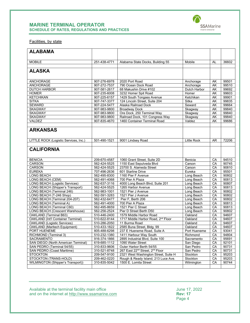

Facilities, by state

| <b>ALABAMA</b>                            |              |                                                         |                    |     |       |
|-------------------------------------------|--------------|---------------------------------------------------------|--------------------|-----|-------|
|                                           |              |                                                         |                    |     |       |
| <b>MOBILE</b>                             | 251-438-4771 | Alabama State Docks, Building 55                        | Mobile             | AL  | 36602 |
| <b>ALASKA</b>                             |              |                                                         |                    |     |       |
|                                           |              |                                                         |                    |     |       |
| <b>ANCHORAGE</b>                          | 907-276-6978 | 2020 Port Road                                          | Anchorage          | AΚ  | 99501 |
| <b>ANCHORAGE</b>                          | 907-272-7537 | 790 Ocean Dock Road                                     | Anchorage          | AΚ  | 99510 |
| <b>DUTCH HARBOR</b>                       | 907-581-2617 | 68 Makushin Drive #102                                  | Dutch Harbor       | AΚ  | 99692 |
| <b>HOMER</b>                              | 907-235-6008 | 3232 Homer Spit Road                                    | Homer              | AΚ  | 99603 |
| <b>KETCHIKAN</b>                          | 907-225-6157 | 1429 South Tongass Avenue                               | Ketchikan          | AΚ  | 99901 |
| <b>SITKA</b>                              | 907-747-3377 | 124 Lincoln Street, Suite 204                           | Sitka              | AK  | 99835 |
| <b>SEWARD</b>                             | 907-224-5477 | Alaska Railroad Dock                                    | Seward             | AΚ  | 99664 |
| <b>SKAGWAY</b>                            | 907-983-9800 | <b>Broadway Dock</b>                                    | Skagway            | AΚ  | 99840 |
| <b>SKAGWAY</b>                            | 907-983-9800 | Ore Dock, 250 Terminal Way                              | Skagway            | AK  | 99840 |
| <b>SKAGWAY</b>                            | 907-983-9800 | Railroad Dock, 101 Congress Way                         | Skagway            | AΚ  | 99840 |
| VALDEZ                                    | 907-835-4670 | 1460 Container Terminal Road                            | Valdez             | AK  | 99686 |
| <b>ARKANSAS</b>                           |              |                                                         |                    |     |       |
| LITTLE ROCK (Logistic Services, Inc.)     | 501-490-1521 | 9001 Lindsey Road                                       | <b>Little Rock</b> | AR. | 72206 |
|                                           |              |                                                         |                    |     |       |
| <b>CALIFORNIA</b>                         |              |                                                         |                    |     |       |
| <b>BENICIA</b>                            | 209-670-4587 | 1060 Grant Street, Suite 2D                             | Benicia            | CА  | 94510 |
| <b>CARSON</b>                             | 562-424-5525 | 1150 East Sepulveda Blvd                                | Carson             | CA  | 90745 |
| <b>CARSON</b>                             | 562-424-5525 | 23700 S. Alameda Street                                 | Carson             | СA  | 90810 |
| <b>EUREKA</b>                             | 707-496-2636 | 601 Starline Drive                                      | Eureka             | CA  | 95501 |
| LONG BEACH                                | 562-495-8300 | 1160 Pier F Avenue                                      | Long Beach         | СA  | 90802 |
| LONG BEACH (CEM)                          | 562-491-4068 | 700 Pier A Plaza                                        | Long Beach         | CA  | 90813 |
| <b>LONG BEACH (Logistic Services)</b>     | 562-637-3116 | 4000 Long Beach Blvd, Suite 201                         | Long Beach         | CA  | 90807 |
| LONG BEACH (Shipper's Transport)          | 562-424-5525 | 1265 Harbor Avenue                                      | Long Beach         | CA  | 90813 |
| LONG BEACH (Terminal 246)                 | 562-983-1001 | 1521 Pier J Avenue                                      | Long Beach         | CA  | 90802 |
| LONG BEACH (T-246 Shop)                   | 562-591-3283 | 1521 Pier J Avenue                                      | Long Beach         | CA  | 90802 |
| LONG BEACH (Terminal 204-207)             | 562-432-6477 | Pier F, Berth 206                                       | Long Beach         | CA  | 90802 |
| LONG BEACH (Terminal A)                   | 562-491-4000 | 700 Pier A Plaza                                        | Long Beach         | CA  | 90813 |
| LONG BEACH (Terminal C60)                 | 562-495-8659 | 1521 Pier C Street                                      | Long Beach         | CA  | 90813 |
| LONG BEACH (Crescent Warehouse)           | 562-256-2524 | Pier D Street Berth D50                                 | Long Beach         | СA  | 90802 |
| OAKLAND (Terminal B63)                    | 510-446-2400 | 1579 Middle Harbor Road                                 | Oakland            | CA  | 94607 |
| <b>OAKLAND (Int'l Container Terminal)</b> | 510-622-8144 | 1717 Middle Harbor Road, 2 <sup>nd</sup> Floor          | Oakland            | СA  | 94607 |
| <b>OAKLAND</b> (Logistic Services)        | 510-286-2050 | 11 Burma Road                                           | Oakland            | CA  | 94607 |
| <b>OAKLAND</b> (Maritech Equipment)       | 510-433-1822 | 2585 Buna Street, Bldg. 99                              | Oakland            | CA  | 94607 |
| PORT HUENEME                              | 805-488-6298 | 237 E Hueneme Road, Suite A                             | Port Hueneme       | CA  | 93041 |
| RICHMOND (Terminal 3)                     | 510-232-1380 | 1411 Harbour Way South                                  | Richmond           | CА  | 94804 |
| SACRAMENTO                                | 916-374-1866 | 2895 Industrial Blvd, Suite 100                         | Sacramento         | СA  | 95691 |
| SAN DIEGO (North American Terminal)       | 619-685-1112 | 1090 Water Street                                       | San Diego          | CA  | 92101 |
| SAN PEDRO (Terminal 54/55)                | 310-833-9606 | Outer Harbor Berth 54/55                                | San Pedro          | CA  | 90731 |
| SAN PEDRO (Coast Maritime)                | 310-521-8748 | 267 East 22 <sup>nd</sup> Street, 2 <sup>nd</sup> Floor | San Pedro          | СA  | 90731 |
| <b>STOCKTON</b>                           | 209-547-9100 | 2321 West Washington Street, Suite H                    | Stockton           | СA  | 95203 |
| STOCKTON (TRANS-HOLD)                     | 209-462-0220 | Rough & Ready Island, 213 Luce Ave.                     | Stockton           | CA  | 95203 |
| <b>WILMINGTON (Shipper's Transport))</b>  | 310-835-5042 | 1500 E. Lomita Street                                   | Wilmington         | CA  | 90744 |
|                                           |              |                                                         |                    |     |       |

Available at the terminal facility main office June 17, 2022 and on the internet at [http://www.ssamarine.com](http://www.ssamarine.com/) **Rev: 17**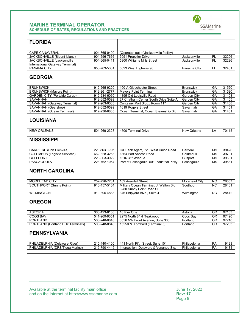

| <b>FLORIDA</b>                                             |                              |                                                                    |                              |                  |                |
|------------------------------------------------------------|------------------------------|--------------------------------------------------------------------|------------------------------|------------------|----------------|
|                                                            |                              |                                                                    |                              |                  |                |
|                                                            |                              |                                                                    |                              |                  |                |
| <b>CAPE CANAVERAL</b>                                      | 904-665-0400                 | (Operates out of Jacksonville facility)<br>5051 Propeller Drive    |                              |                  |                |
| JACKSONVILLE (Blount Island)<br>JACKSONVILLE (Jacksonville | 904-696-7666<br>904-665-0411 | 5800 Williams Mills Street                                         | Jacksonville<br>Jacksonville | <b>FL</b><br>FL. | 32206<br>32226 |
| International Gateway Terminal)                            |                              |                                                                    |                              |                  |                |
| <b>PANAMA CITY</b>                                         | 850-763-5361                 | 5323 West Highway 98                                               | Panama City                  | <b>FL</b>        | 32401          |
|                                                            |                              |                                                                    |                              |                  |                |
| <b>GEORGIA</b>                                             |                              |                                                                    |                              |                  |                |
|                                                            |                              |                                                                    |                              |                  |                |
| <b>BRUNSWICK</b>                                           | 912-265-9220                 | 100-A Glouchester Street                                           | <b>Brunswick</b>             | GA               | 31520          |
| <b>BRUNSWICK (Mayors Point)</b>                            | 912-261-2777                 | <b>Mayors Point Terminal</b>                                       | <b>Brunswick</b>             | GA               | 31520          |
| <b>GARDEN CITY (Portside Cargo)</b>                        | 912-234-6060                 | 4895 Old Louisville Road                                           | Garden City                  | GA               | 31408          |
| SAVANNAH                                                   | 912-652-0599                 | 27 Chatham Center South Drive Suite A                              | Garden City                  | GA               | 31405          |
| <b>SAVANNAH (Gateway Terminal)</b>                         | 912-963-0063                 | Container Port Bldg., Room 117                                     | Garden City                  | GA               | 31408          |
| SAVANNAH (Gearshop)                                        | 912-652-0599                 | 1619 Rogers Street                                                 | Savannah                     | GA               | 31401          |
| SAVANNAH (Ocean Terminal)                                  | 912-236-6805                 | Ocean Terminal, Ocean Steamship Bld                                | Savannah                     | GA               | 31401          |
| <b>LOUISIANA</b>                                           |                              |                                                                    |                              |                  |                |
| <b>NEW ORLEANS</b>                                         | 504-269-2323                 | 4500 Terminal Drive                                                | New Orleans                  | LA               | 70115          |
|                                                            |                              |                                                                    |                              |                  |                |
| <b>MISSISSIPPI</b>                                         |                              |                                                                    |                              |                  |                |
| <b>CARRIERE</b> (Port Bienville)                           | 228.863.3922                 | C/O Rick Agent, 723 West Union Road                                | Carriere                     | <b>MS</b>        | 39426          |
| <b>COLUMBUS</b> (Logistic Services)                        | 662-328-3263                 | 1864 Port Access Road                                              | Columbus                     | <b>MS</b>        | 39701          |
| <b>GULFPORT</b>                                            | 228-863-3922                 | 1616 31 <sup>st</sup> Avenue                                       | Gulfport                     | <b>MS</b>        | 39501          |
| PASCAGOULA                                                 | 228-762-1054                 | Port of Pascagoula, 501 Industrial Pkwy                            | Pascagoula                   | <b>MS</b>        | 39581          |
| <b>NORTH CAROLINA</b>                                      |                              |                                                                    |                              |                  |                |
|                                                            |                              |                                                                    |                              |                  |                |
| <b>MOREHEAD CITY</b>                                       | 252-726-7231                 | 102 Arendell Street                                                | Morehead City                | <b>NC</b>        | 28557          |
| <b>SOUTHPORT (Sunny Point)</b>                             | 910-457-5104                 | Military Ocean Terminal, J. Walton Bld<br>6280 Sunny Point Road SE | Southport                    | NC               | 28461          |
| <b>WILMINGTON</b>                                          | 910-395-4888                 | 346 Shipyard Blvd., Suite 4                                        | Wilmington                   | <b>NC</b>        | 28412          |
| <b>OREGON</b>                                              |                              |                                                                    |                              |                  |                |
|                                                            |                              |                                                                    |                              |                  |                |
| <b>ASTORIA</b>                                             | 360-423-8100                 | 10 Pier One                                                        | Astoria                      | <b>OR</b>        | 97103          |
| <b>COOS BAY</b>                                            | 541-269-9351                 | 2275 North 8th & Teakwood                                          | Coos Bay                     | 0R               | 97420          |
| <b>PORTLAND</b>                                            | 503-248-0848                 | 3556 NW Front Avenue, Suite 360                                    | Portland                     | <b>OR</b>        | 97210          |
| PORTLAND (Portland Bulk Terminals)                         | 503-248-0848                 | 15550 N. Lombard (Terminal 5)                                      | Portland                     | <b>OR</b>        | 97283          |
| <b>PENNSYLVANIA</b>                                        |                              |                                                                    |                              |                  |                |
| PHILADELPHIA (Delaware River)                              | 215-440-4100                 | 441 North Fifth Street. Suite 101                                  | Philadelphia                 | PA               | 19123          |
| PHILADELPHIA (DRS/Tioga Marine)                            | 215-790-4445                 | Intersection, Delaware & Venango Sts.                              | Philadelphia                 | PA               | 19134          |
|                                                            |                              |                                                                    |                              |                  |                |

Available at the terminal facility main office June 17, 2022 and on the internet at [http://www.ssamarine.com](http://www.ssamarine.com/) **Rev: 17**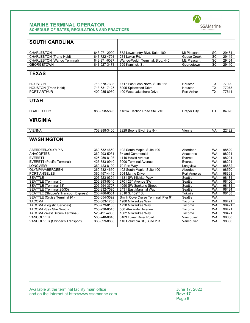

| <b>SOUTH CAROLINA</b>                               |                              |                                                      |                     |                        |                |
|-----------------------------------------------------|------------------------------|------------------------------------------------------|---------------------|------------------------|----------------|
|                                                     |                              |                                                      |                     |                        |                |
| <b>CHARLESTON</b>                                   | 843-971-2900                 | 852 Lowcountry Blvd, Suite 100                       | Mt Pleasant         | <b>SC</b>              | 29464          |
| <b>CHARLESTON (Trans-Hold)</b>                      | 843-722-4791                 | 231 Luken Rd.                                        | Goose Creek         | <b>SC</b>              | 29445          |
| <b>CHARLESTON (Wando Terminal)</b>                  | 843-971-0037                 | Wando-Welch Terminal, Bldg. 440                      | Mt. Pleasant        | <b>SC</b>              | 29464          |
| <b>GEORGETOWN</b>                                   | 843-527-3473                 | 609 Kaminski St.                                     | Georgetown          | SC                     | 29440          |
|                                                     |                              |                                                      |                     |                        |                |
| <b>TEXAS</b>                                        |                              |                                                      |                     |                        |                |
| <b>HOUSTON</b>                                      | 713-678-7308                 | 1717 East Loop North, Suite 365                      | Houston             | <b>TX</b>              | 77029          |
| <b>HOUSTON</b> (Trans-Hold)                         | 713-631-7125                 | 8905 Spikewood Drive                                 | Houston             | <b>TX</b>              | 77078          |
| PORT ARTHUR                                         | 409-985-8950                 | 100 West Lakeshore Drive                             | Port Arthur         | <b>TX</b>              | 77641          |
|                                                     |                              |                                                      |                     |                        |                |
| <b>UTAH</b>                                         |                              |                                                      |                     |                        |                |
| <b>DRAPER CITY</b>                                  | 888-898-5893                 | 11814 Election Road Ste. 210                         | <b>Draper City</b>  | UT                     | 84020          |
|                                                     |                              |                                                      |                     |                        |                |
| <b>VIRGINIA</b>                                     |                              |                                                      |                     |                        |                |
|                                                     |                              |                                                      |                     |                        |                |
| <b>VIENNA</b>                                       | 703-288-3400                 | 8229 Boone Blvd. Ste 844                             | Vienna              | <b>VA</b>              | 22182          |
| <b>WASHINGTON</b>                                   |                              |                                                      |                     |                        |                |
|                                                     |                              |                                                      |                     |                        |                |
| ABERDEEN/OLYMPIA                                    | 360-532-4650                 | 102 South Maple, Suite 100                           | Aberdeen            | <b>WA</b>              | 98520          |
| <b>ANACORTES</b>                                    | 360-293-5031                 | 3 <sup>rd</sup> and Commercial                       | Anacortes           | <b>WA</b>              | 98221          |
| <b>EVERETT</b>                                      | 425-259-8193                 | 1110 Hewitt Avenue                                   | Everett             | <b>WA</b>              | 98201          |
| <b>EVERETT (Pacific Terminal)</b>                   | 425-783-0910                 | 3000 Terminal Avenue                                 | Everett             | <b>WA</b>              | 98201          |
| <b>LONGVIEW</b>                                     | 360-423-8100                 | 70 Port Wav                                          | Longview            | <b>WA</b>              | 98632          |
| <b>OLYMPIA/ABERDEEN</b>                             | 360-532-4650                 | 102 South Maple, Suite 100                           | Aberdeen            | <b>WA</b>              | 98520          |
| <b>PORT ANGELES</b>                                 | 360-457-4415                 | 604 Marine Drive                                     | <b>Port Angeles</b> | <b>WA</b>              | 98363          |
| <b>SEATTLE</b>                                      | 206-623-0304                 | 1131 SW Klickitat Way                                | Seattle             | <b>WA</b>              | 98134          |
| <b>SEATTLE (Terminal 5)</b>                         | 206-393-5340                 | 2701 26 <sup>th</sup> Avenue SW                      | Seattle             | <b>WA</b>              | 98106          |
| <b>SEATTLE (Terminal 18)</b>                        | 206-654-3707                 | 1050 SW Spokane Street                               | Seattle             | <b>WA</b>              | 98134          |
| SEATTLE (Terminal 25/30)                            | 206-332-7595                 | 2431 East Marginal Way                               | Seattle             | <b>WA</b>              | 98134          |
| <b>SEATTLE (Shipper's Transport Express)</b>        | 206-786-6551                 | 2810 S. 102 <sup>nd</sup> St.                        | Tukwila             | <b>WA</b>              | 98168          |
| <b>SEATTLE (Cruise Terminal 91)</b>                 | 206-654-3592                 | Smith Cove Cruise Terminal, Pier 91                  | Seattle             | <b>WA</b>              |                |
| <b>TACOMA</b>                                       | 253-383-1763                 | 1980 Milwaukee Way                                   | Tacoma              | <b>WA</b>              | 98421          |
| <b>TACOMA</b> (Logistic Services)                   | 253-779-0105                 | 1738 Milwaukee Wav                                   | Tacoma              | <b>WA</b>              | 98421          |
| TACOMA (Sea Star South)                             | 253-238-8545                 | 500 Alexander Avenue                                 | Tacoma              | <b>WA</b>              | 98421          |
| <b>TACOMA (West Sitcum Terminal)</b>                | 526-491-4033                 | 1002 Milwaukee Way                                   | Tacoma              | <b>WA</b>              | 98421          |
| VANCOUVER<br><b>VANCOUVER (Shipper's Transport)</b> | 503-248-0848<br>360-699-8886 | 3103 Lower River Road<br>110 Columbia St., Suite 201 | Vancouver           | <b>WA</b><br><b>WA</b> | 98660<br>98660 |
|                                                     |                              |                                                      | Vancouver           |                        |                |

Available at the terminal facility main office June 17, 2022 and on the internet at [http://www.ssamarine.com](http://www.ssamarine.com/) **Rev: 17**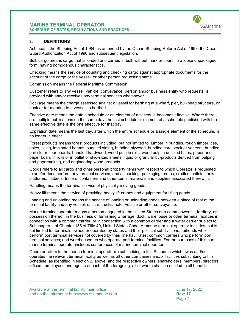

#### <span id="page-7-0"></span>**3. DEFINITIONS**

Act means the Shipping Act of 1984, as amended by the Ocean Shipping Reform Act of 1998, the Coast Guard Authorization Act of 1998 and subsequent legislation.

Bulk cargo means cargo that is loaded and carried in bulk without mark or count, in a loose unpackaged form, having homogenous characteristics.

Checking means the service of counting and checking cargo against appropriate documents for the account of the cargo or the vessel, or other person requesting same.

Commission means the Federal Maritime Commission.

Customer refers to any vessel, vehicle, conveyance, person and/or business entity who requests, is provided with and/or receives any terminal services whatsoever.

Dockage means the charge assessed against a vessel for berthing at a wharf, pier, bulkhead structure, or bank or for mooring to a vessel so berthed.

Effective date means the date a schedule or an element of a schedule becomes effective. Where there are multiple publications on the same day, the last schedule or element of a schedule published with the same effective date is the one effective for that day.

Expiration date means the last day, after which the entire schedule or a single element of the schedule, is no longer in effect.

Forest products means forest products including, but not limited to, lumber in bundles, rough timber, ties, poles, piling, laminated beams, bundled siding, bundled plywood, bundled core stock or veneers, bundled particle or fiber boards, bundled hardwood, wood pulp in rolls, wood pulp in unitized bales, paper and paper board in rolls or in pallet or skid-sized sheets, liquid or granular by-products derived from pulping and papermaking, and engineering wood products.

Goods refers to all cargo and other personal property items with respect to which Operator is requested to and/or does perform any terminal services, and all packing, packaging, crates, cradles, pallets, tanks, platforms, flatbeds, trailers, containers and other items, materials and supplies associated therewith.

Handling means the terminal service of physically moving goods.

Heavy lift means the service of providing heavy lift cranes and equipment for lifting goods.

Loading and unloading means the service of loading or unloading goods between a place of rest at the terminal facility and any vessel, rail car, trucks/motor vehicle or other conveyance.

Marine terminal operator means a person engaged in the United States or a commonwealth, territory, or possession thereof, in the business of furnishing wharfage, dock, warehouse or other terminal facilities in connection with a common carrier, or in connection with a common carrier and a water carrier subject to Subchapter II of Chapter 135 of Title 49, United States Code. A marine terminal operator includes, but is not limited to, terminals owned or operated by states and their political subdivisions; railroads who perform port terminal services not covered by their line haul rates; common carriers who perform port terminal services; and warehousemen who operate port terminal facilities. For the purposes of this part, marine terminal operator includes conferences of marine terminal operators.

Operator refers to the marine terminal operator(s) subscribing to this Schedule which owns and/or operates the relevant terminal facility as well as all other companies and/or facilities subscribing to this Schedule, as identified in section [2,](#page-3-0) above, and the respective owners, shareholders, members, directors, officers, employees and agents of each of the foregoing, all of whom shall be entitled to all benefits,

Available at the terminal facility main office June 17, 2022 and on the internet at <u>http://www.ssamarine.com</u><br>Page 7

Page 7 and the contract of the contract of the contract of the contract of the contract of the contract of the contract of the contract of the contract of the contract of the contract of the contract of the contract of the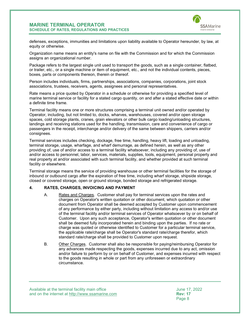

defenses, exceptions, immunities and limitations upon liability available to Operator hereunder, by law, at equity or otherwise.

Organization name means an entity's name on file with the Commission and for which the Commission assigns an organizational number.

Package refers to the largest single unit used to transport the goods, such as a single container, flatbed, or trailer, etc., or a single machine or item of equipment, etc., and not the individual contents, pieces, boxes, parts or components thereon, therein or thereof.

Person includes individuals, firms, partnerships, associations, companies, corporations, joint stock associations, trustees, receivers, agents, assignees and personal representatives.

Rate means a price quoted by Operator in a schedule or otherwise for providing a specified level of marine terminal service or facility for a stated cargo quantity, on and after a stated effective date or within a definite time frame.

Terminal facility means one or more structures comprising a terminal unit owned and/or operated by Operator, including, but not limited to, docks, wharves, warehouses, covered and/or open storage spaces, cold storage plants, cranes, grain elevators or other bulk cargo loading/unloading structures, landings and receiving stations used for the handling, transmission, care and convenience of cargo or passengers in the receipt, interchange and/or delivery of the same between shippers, carriers and/or consignees.

Terminal services includes checking, dockage, free time, handling, heavy lift, loading and unloading, terminal storage, usage, wharfage, and wharf demurrage, as defined herein, as well as any other providing of, use of and/or access to a terminal facility whatsoever, including any providing of, use of and/or access to personnel, labor, services, materials, supplies, tools, equipment, personal property and real property at and/or associated with such terminal facility, and whether provided at such terminal facility or elsewhere.

Terminal storage means the service of providing warehouse or other terminal facilities for the storage of inbound or outbound cargo after the expiration of free time, including wharf storage, shipside storage, closed or covered storage, open or ground storage, bonded storage and refrigerated storage.

#### <span id="page-8-0"></span>**4. RATES, CHARGES, INVOICING AND PAYMENT**

- A. Rates and Charges. Customer shall pay for terminal services upon the rates and charges on Operator's written quotation or other document, which quotation or other document from Operator shall be deemed accepted by Customer upon commencement of any performance by either party, including without limitation any access to and/or use of the terminal facility and/or terminal services of Operator whatsoever by or on behalf of Customer. Upon any such acceptance, Operator's written quotation or other document shall be deemed fully incorporated herein and binding upon the parties. If no rate or charge was quoted or otherwise identified to Customer for a particular terminal service, the applicable rate/charge shall be Operator's standard rate/charge therefor, which standard rate/charge shall be provided to Customer upon request.
- B. Other Charges. Customer shall also be responsible for paying/reimbursing Operator for any advances made respecting the goods, expenses incurred due to any act, omission and/or failure to perform by or on behalf of Customer, and expenses incurred with respect to the goods resulting in whole or part from any unforeseen or extraordinary circumstance.

Available at the terminal facility main office June 17, 2022 and on the internet at <u>http://www.ssamarine.com</u><br>Page 8

Page 8 and the state of the state of the state of the state of the state of the state of the state of the state of the state of the state of the state of the state of the state of the state of the state of the state of the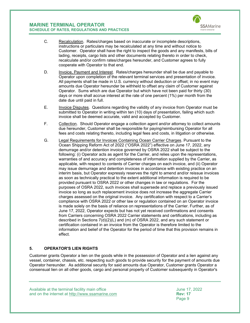

- C. Recalculation. Rates/charges based on inaccurate or incomplete descriptions, instructions or particulars may be recalculated at any time and without notice to Customer. Operator shall have the right to inspect the goods and any manifests, bills of lading, receipts, cargo lists and other documents relating thereto in order to check, recalculate and/or confirm rates/charges hereunder, and Customer agrees to fully cooperate with Operator to that end.
- D. Invoice, Payment and Interest. Rates/charges hereunder shall be due and payable to Operator upon completion of the relevant terminal services and presentation of invoice. All payments shall be made in U.S. currency without deduction or offset; in no event may amounts due Operator hereunder be withheld to offset any claim of Customer against Operator. Sums which are due Operator but which have not been paid for thirty (30) days or more shall accrue interest at the rate of one percent (1%) per month from the date due until paid in full.
- E. Invoice Disputes. Questions regarding the validity of any invoice from Operator must be submitted to Operator in writing within ten (10) days of presentation, failing which such invoice shall be deemed accurate, valid and accepted by Customer.
- F. Collection. Should Operator engage a collection agent and/or attorney to collect amounts due hereunder, Customer shall be responsible for paying/reimbursing Operator for all fees and costs relating thereto, including legal fees and costs, in litigation or otherwise.
- G. Legal Requirements for Invoices Containing Ocean Carrier Charges. Pursuant to the Ocean Shipping Reform Act of 2022 ("OSRA 2022") effective on June 17, 2022, any demurrage and/or detention invoice governed by OSRA 2022 shall be subject to the following: (i) Operator acts as agent for the Carrier, and relies upon the representations, warranties of and accuracy and completeness of information supplied by the Carrier, as applicable, with respect to contents of Carrier charges on each invoice, and (ii) Operator may issue demurrage and detention invoices in accordance with existing practice on an interim basis, but Operator expressly reserves the right to amend and/or reissue invoices as soon as technically practical to the extent additional information is required to be provided pursuant to OSRA 2022 or other changes in law or regulations. For the purposes of OSRA 2022, such invoices shall supersede and replace a previously issued invoice so long as such replacement invoice does not increase the aggregate Carrier charges assessed on the original invoice. Any certification with respect to a Carrier's compliance with OSRA 2022 or other law or regulation contained on an Operator invoice is made solely on the basis of reliance on representations of the Carrier. Further, as of June 17, 2022, Operator expects but has not yet received confirmations and consents from Carriers concerning OSRA 2022 Carrier statements and certifications, including as described in Sections 7(d)(2)(L) and (m) of OSRA 2022, and any such statement or certification contained in an invoice from the Operator is therefore limited to the information and belief of the Operator for the period of time that this provision remains in effect.

## <span id="page-9-0"></span>**5. OPERATOR'S LIEN RIGHTS**

Customer grants Operator a lien on the goods while in the possession of Operator and a lien against any vessel, container, chassis, etc. respecting such goods to provide security for the payment of amounts due Operator hereunder. As additional security for said amounts due Operator, Customer grants Operator a consensual lien on all other goods, cargo and personal property of Customer subsequently in Operator's

Available at the terminal facility main office June 17, 2022 and on the internet at <u>http://www.ssamarine.com</u><br>Page 9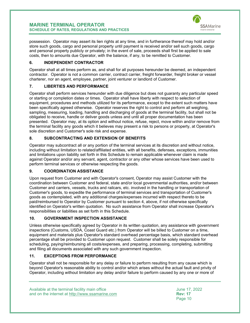

possession. Operator may assert its lien rights at any time, and in furtherance thereof may hold and/or store such goods, cargo and personal property until payment is received and/or sell such goods, cargo and personal property publicly or privately; in the event of sale, proceeds shall first be applied to sale costs, then to amounts due Operator, with the balance, if any, to be remitted to Customer.

## <span id="page-10-0"></span>**6. INDEPENDENT CONTRACTOR**

Operator shall at all times perform as, and shall for all purposes hereunder be deemed, an independent contractor. Operator is not a common carrier, contract carrier, freight forwarder, freight broker or vessel charterer, nor an agent, employee, partner, joint venturer or landlord of Customer.

## <span id="page-10-1"></span>**7. LIBERTIES AND PERFORMANCE**

Operator shall perform services hereunder with due diligence but does not guaranty any particular speed or starting or completion dates or times. Operator shall have liberty with respect to selection of equipment, procedures and methods utilized for its performance, except to the extent such matters have been specifically agreed otherwise. Operator reserves the right to control and perform all weighing, sampling, measuring, loading, handling and discharging of goods at the terminal facility, but shall not be obligated to receive, handle or deliver goods unless and until all proper documentation has been presented. Operator may, at its option and without notice, refuse, reject, move within and/or remove from the terminal facility any goods which it believes may present a risk to persons or property, at Operator's sole discretion and Customer's sole risk and expense.

## <span id="page-10-2"></span>**8. SUBCONTRACTING AND EXTENSION OF BENEFITS**

Operator may subcontract all or any portion of the terminal services at its discretion and without notice, including without limitation to related/affiliated entities, with all benefits, defenses, exceptions, immunities and limitations upon liability set forth in this Schedule to remain applicable whenever claim is made against Operator and/or any servant, agent, contractor or any other whose services have been used to perform terminal services or otherwise respecting the goods.

## <span id="page-10-3"></span>**9. COORDINATION ASSISTANCE**

Upon request from Customer and with Operator's consent, Operator may assist Customer with the coordination between Customer and federal, state and/or local governmental authorities, and/or between Customer and carriers, vessels, trucks and railcars, etc. involved in the handling or transportation of Customer's goods, to expedite the performance of terminal services and transportation of Customer's goods as contemplated, with any additional charges/expenses incurred with respect thereto to be paid/reimbursed to Operator by Customer pursuant to section [4,](#page-8-0) above, if not otherwise specifically identified on Operator's written quotation. No such assistance from Operator shall increase Operator's responsibilities or liabilities as set forth in this Schedule.

## <span id="page-10-4"></span>**10. GOVERNMENT INSPECTION ASSISTANCE**

Unless otherwise specifically agreed by Operator in its written quotation, any assistance with government inspections (Customs, USDA, Coast Guard etc.) from Operator will be billed to Customer on a time, equipment and materials plus Operator's standard overhead percentage basis, which standard overhead percentage shall be provided to Customer upon request. Customer shall be solely responsible for scheduling, paying/reimbursing all costs/expenses, and preparing, processing, completing, submitting and filing all documents associated with any such government inspection.

## <span id="page-10-5"></span>**11. EXCEPTIONS FROM PERFORMANCE**

Operator shall not be responsible for any delay or failure to perform resulting from any cause which is beyond Operator's reasonable ability to control and/or which arises without the actual fault and privity of Operator, including without limitation any delay and/or failure to perform caused by any one or more of

Available at the terminal facility main office June 17, 2022 and on the internet at <u>http://www.ssamarine.com</u><br>Page 10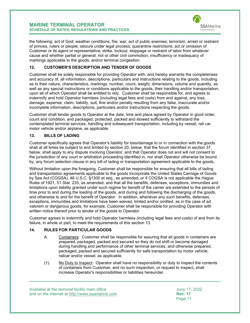

the following: act of God; weather conditions; fire; war; act of public enemies; terrorism; arrest or restraint of princes, rulers or people; seizure under legal process; quarantine restrictions; act or omission of Customer or its agent or representative; strike, lockout, stoppage or restraint of labor from whatever cause and whether partial or general; riot or other civil commotion; insufficiency or inadequacy of markings applicable to the goods; and/or terminal congestion.

## <span id="page-11-0"></span>**12. CUSTOMER'S DESCRIPTION AND TENDER OF GOODS**

Customer shall be solely responsible for providing Operator with, and hereby warrants the completeness and accuracy of, all information, descriptions, particulars and instructions relating to the goods, including as to their nature, characteristics, markings, number, count, weight, dimensions, volume and quantity, as well as any special instructions or conditions applicable to the goods, their handling and/or transportation, upon all of which Operator shall be entitled to rely. Customer shall be responsible for, and agrees to indemnify and hold Operator harmless (including legal fees and costs) from and against, any loss, damage, expense, claim, liability, suit, fine and/or penalty resulting from any false, inaccurate and/or incomplete information, descriptions, particulars and/or instructions respecting the goods.

Customer shall tender goods to Operator at the date, time and place agreed by Operator in good order, count and condition, and packaged, protected, packed and stowed sufficiently to withstand the contemplated terminal services, handling and subsequent transportation, including by vessel, rail car, motor vehicle and/or airplane, as applicable.

## <span id="page-11-1"></span>**13. BILLS OF LADING**

Customer specifically agrees that Operator's liability for loss/damage to or in connection with the goods shall at all times be subject to and limited by section [20,](#page-29-2) below, that the forum identified in section 37, below, shall apply to any dispute involving Operator, and that Operator does not and will not consent to the jurisdiction of any court or arbitration proceeding identified in, nor shall Operator otherwise be bound by, any forum selection clause in any bill of lading or transportation agreement applicable to the goods.

Without limitation upon the foregoing, Customer shall be responsible for ensuring that all bills of lading and transportation agreements applicable to the goods incorporate the United States Carriage of Goods by Sea Act (COGSA), 46 U.S.C. §1300 et seq., as amended, or if COGSA is not applicable the Hague Rules of 1921, 51 Stat. 233, as amended, and that all the benefits, defenses, exceptions, immunities and limitations upon liability granted under such regime for benefit of the carrier are extended to the periods of time prior to and during the loading of the goods, and during and following the discharging of the goods, and otherwise to and for the benefit of Operator. In addition, whenever any such benefits, defenses, exceptions, immunities and limitations have been waived, limited and/or omitted, as in the case of ad valorem or dangerous goods, for example, Customer shall be responsible for providing Operator with written notice thereof prior to tender of the goods to Operator.

Customer agrees to indemnify and hold Operator harmless (including legal fees and costs) of and from its failure, in whole or part, to meet the requirements of this section [13.](#page-11-1)

## <span id="page-11-2"></span>**14. RULES FOR PARTICULAR GOODS**

- A. Containers: Customer shall be responsible for assuring that all goods in containers are prepared, packaged, packed and secured so they do not shift or become damaged during handling and performance of other terminal services, and otherwise prepared, packaged, packed and secured sufficiently for safe transportation by motor vehicle, railcar and/or vessel, as applicable.
- (1). No Duty to Inspect: Operator shall have no responsibility or duty to inspect the contents of containers from Customer, and no such inspection, or request to inspect, shall increase Operator's responsibilities or liabilities hereunder.

Available at the terminal facility main office June 17, 2022 and on the internet at <u>http://www.ssamarine.com</u><br>Page 11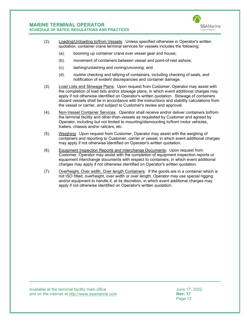

- (2). Loading/Unloading to/from Vessels: Unless specified otherwise in Operator's written quotation, container crane terminal services for vessels includes the following:
	- (a). booming up container crane over vessel gear and house;
	- (b). movement of containers between vessel and point-of-rest ashore;
	- (c). lashing/unlashing and coning/unconing; and
	- (d). routine checking and tallying of containers, including checking of seals, and notification of evident discrepancies and container damage.
- (3). Load Lists and Stowage Plans: Upon request from Customer, Operator may assist with the completion of load lists and/or stowage plans, in which event additional charges may apply if not otherwise identified on Operator's written quotation. Stowage of containers aboard vessels shall be in accordance with the instructions and stability calculations from the vessel or carrier, and subject to Customer's review and approval.
- (4). Non-Vessel Container Services: Operator shall receive and/or deliver containers to/from the terminal facility and other-than-vessels as requested by Customer and agreed by Operator, including but not limited to mounting/dismounting to/from motor vehicles, trailers, chassis and/or railcars, etc.
- (5). Weighing: Upon request from Customer, Operator may assist with the weighing of containers and reporting to Customer, carrier or vessel, in which event additional charges may apply if not otherwise identified on Operator's written quotation.
- (6). Equipment Inspection Reports and Interchange Documents: Upon request from Customer, Operator may assist with the completion of equipment inspection reports or equipment interchange documents with respect to containers, in which event additional charges may apply if not otherwise identified on Operator's written quotation.
- (7). Overheight, Over width, Over length Containers: If the goods are in a container which is not ISO fitted, overheight, over width or over length, Operator may use special rigging and/or equipment to handle it, at its discretion, in which event additional charges may apply if not otherwise identified on Operator's written quotation.

Available at the terminal facility main office<br>and on the internet at http://www.ssamarine.com<br>Rev: 17 and on the internet at <u>http://www.ssamarine.com</u><br>Page 12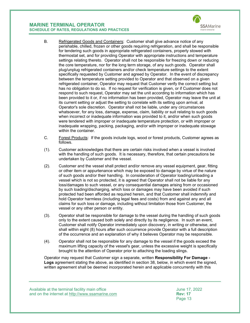

Operator's sole discretion. Operator shall not be liable, under any circumstances whatsoever, for any loss, damage, expense, claim, liability or suit relating to such goods when incorrect or inadequate information was provided to it, and/or when such goods were tendered with improper or inadequate temperature protection, or with improper or inadequate wrapping, packing, packaging, and/or with improper or inadequate stowage within the container.

- C. Forest Products: If the goods include logs, wood or forest products, Customer agrees as follows.
- (1). Customer acknowledges that there are certain risks involved when a vessel is involved with the handling of such goods. It is necessary, therefore, that certain precautions be undertaken by Customer and the vessel.
- (2). Customer and the vessel shall protect and/or remove any vessel equipment, gear, fitting or other item or appurtenance which may be exposed to damage by virtue of the nature of such goods and/or their handling. In consideration of Operator loading/unloading a vessel which is not so protected, it is agreed that Operator shall not be liable for any loss/damages to such vessel, or any consequential damages arising from or occasioned by such loading/discharging, which loss or damages may have been avoided if such protected had been afforded as required herein, and that Customer shall indemnify and hold Operator harmless (including legal fees and costs) from and against any and all claims for such loss or damage, including without limitation those from Customer, the vessel or any other person or entity.
- (3). Operator shall be responsible for damage to the vessel during the handling of such goods only to the extent caused both solely and directly by its negligence. In such an event, Customer shall notify Operator immediately upon discovery, in writing or otherwise, and shall within eight (8) hours after such occurrence provide Operator with a full description of the occurrence and an explanation of why it believes Operator may be responsible.
- (4). Operator shall not be responsible for any damage to the vessel if the goods exceed the maximum lifting capacity of the vessel's gear, unless the excessive weight is specifically brought to the attention of Operator prior to attaching the loading slings.

Operator may request that Customer sign a separate, written **Responsibility For Damage - Logs** agreement stating the above, as identified in section [38,](#page-47-0) below, in which event the signed, written agreement shall be deemed incorporated herein and applicable concurrently with this

Available at the terminal facility main office June 17, 2022 and on the internet at <u>http://www.ssamarine.com</u><br>Page 13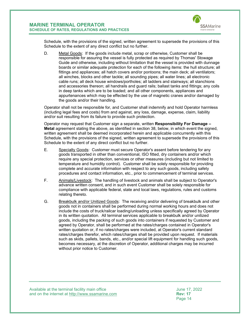

Schedule, with the provisions of the signed, written agreement to supersede the provisions of this Schedule to the extent of any direct conflict but no further.

D. Metal Goods: If the goods include metal, scrap or otherwise, Customer shall be responsible for assuring the vessel is fully protected as required by Thomas' Stowage Guide and otherwise, including without limitation that the vessel is provided with dunnage boards or similar adequate protection for each of the following items: the hull structure; all fittings and appliances; all hatch covers and/or pontoons; the main deck; all ventilators; all winches, blocks and other tackle; all sounding pipes; all water lines; all electronic cable runs; all deck house windows/portholes; all ladders and stairways; all stanchions and accessories thereon; all handrails and guard rails; ballast tanks and fittings; any coils in deep tanks which are to be loaded; and all other components, appliances and appurtenances which may be effected by the use of magnetic cranes and/or damaged by the goods and/or their handling.

Operator shall not be responsible for, and Customer shall indemnify and hold Operator harmless (including legal fees and costs) from and against, any loss, damage, expense, claim, liability and/or suit resulting from its failure to provide such protection.

Operator may request that Customer sign a separate, written **Responsibility For Damage – Metal** agreement stating the above, as identified in section [38,](#page-47-0) below, in which event the signed, written agreement shall be deemed incorporated herein and applicable concurrently with this Schedule, with the provisions of the signed, written agreement to supersede the provisions of this Schedule to the extent of any direct conflict but no further.

- E. Specialty Goods: Customer must secure Operator's assent before tendering for any goods transported in other than conventional, ISO fitted, dry containers and/or which require any special protection, services or other measures (including but not limited to temperature and humidity control). Customer shall be solely responsible for providing complete and accurate information with respect to any such goods, including safety procedures and contact information, etc., prior to commencement of terminal services.
- F. Animals/Livestock: The handling of livestock and animals shall be subject to Operator's advance written consent, and in such event Customer shall be solely responsible for compliance with applicable federal, state and local laws, regulations, rules and customs relating thereto.
- G. Breakbulk and/or Unitized Goods: The receiving and/or delivering of breakbulk and other goods not in containers shall be performed during normal working hours and does not include the costs of truck/railcar loading/unloading unless specifically agreed by Operator in its written quotation. All terminal services applicable to breakbulk and/or unitized goods, including the packing of such goods into containers if requested by Customer and agreed by Operator, shall be performed at the rates/charges contained in Operator's written quotation or, if no rates/charges were included, at Operator's current standard rates/charges therefor, which rates/charges shall be provided upon request. If materials such as skids, pallets, bands, etc., and/or special lift equipment for handling such goods, becomes necessary, at the discretion of Operator, additional charges may be incurred without prior notice to Customer.

Available at the terminal facility main office<br>and on the internet at http://www.ssamarine.com<br>Rev: 17 and on the internet at <u>http://www.ssamarine.com</u><br>Page 14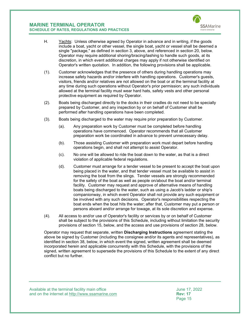

- H. Yachts: Unless otherwise agreed by Operator in advance and in writing, if the goods include a boat, yacht or other vessel, the single boat, yacht or vessel shall be deemed a single "package," as defined in section [3,](#page-7-0) above, and referenced in section [20,](#page-29-2) below. Operator may require additional shoring/bracing/lashing to handle such goods, at its discretion, in which event additional charges may apply if not otherwise identified on Operator's written quotation. In addition, the following provisions shall be applicable.
- (1). Customer acknowledges that the presence of others during handling operations may increase safety hazards and/or interfere with handling operations. Customer's guests, visitors, friends and/or relatives are not allowed on the boat or at the terminal facility at any time during such operations without Operator's prior permission; any such individuals allowed at the terminal facility must wear hard hats, safety vests and other personal protective equipment as required by Operator.
- (2). Boats being discharged directly to the docks in their cradles do not need to be specially prepared by Customer, and any inspection by or on behalf of Customer shall be performed after handling operations have been completed.
- (3). Boats being discharged to the water may require prior preparation by Customer.
	- (a). Any preparation work by Customer must be completed before handling operations have commenced. Operator recommends that all Customer preparation work be coordinated in advance to prevent unnecessary delay.
	- (b). Those assisting Customer with preparation work must depart before handling operations begin, and shall not attempt to assist Operator.
	- (c). No one will be allowed to ride the boat down to the water, as that is a direct violation of applicable federal regulations.
	- (d). Customer must arrange for a tender vessel to be present to accept the boat upon being placed in the water, and that tender vessel must be available to assist in removing the boat from the slings. Tender vessels are strongly recommended for the safety of the boat as well as people on/about the boat and/or terminal facility. Customer may request and approve of alternative means of handling boats being discharged to the water, such as using a Jacob's ladder or ship's companionway, in which event Operator shall not provide any such equipment or be involved with any such decisions. Operator's responsibilities respecting the boat ends when the boat hits the water; after that, Customer may put a person or persons aboard and/or arrange for towage, at its sole discretion and expense.
- (4). All access to and/or use of Operator's facility or services by or on behalf of Customer shall be subject to the provisions of this Schedule, including without limitation the security provisions of section [15,](#page-18-0) below, and the access and use provisions of section [28,](#page-31-2) below.

Operator may request that separate, written **Discharging Instructions** agreement stating the above be signed by Customer (including the consignee and/or its agents and representatives), as identified in section [38,](#page-47-0) below, in which event the signed, written agreement shall be deemed incorporated herein and applicable concurrently with this Schedule, with the provisions of the signed, written agreement to supersede the provisions of this Schedule to the extent of any direct conflict but no further.

Available at the terminal facility main office<br>and on the internet at http://www.ssamarine.com<br>Rev: 17 and on the internet at <u>http://www.ssamarine.com</u><br>Page 15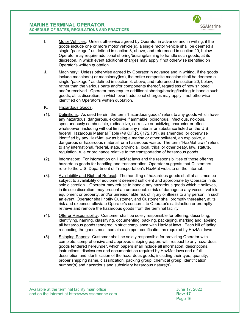

- I. Motor Vehicles: Unless otherwise agreed by Operator in advance and in writing, if the goods include one or more motor vehicle(s), a single motor vehicle shall be deemed a single "package," as defined in section [3,](#page-7-0) above, and referenced in section [20,](#page-29-2) below. Operator may require additional shoring/bracing/lashing to handle such goods, at its discretion, in which event additional charges may apply if not otherwise identified on Operator's written quotation.
- J. Machinery: Unless otherwise agreed by Operator in advance and in writing, if the goods include machine(s) or machinery(ies), the entire composite machine shall be deemed a single "package," as defined in section [3,](#page-7-0) above, and referenced in section [20,](#page-29-2) below, rather than the various parts and/or components thereof, regardless of how shipped and/or received. Operator may require additional shoring/bracing/lashing to handle such goods, at its discretion, in which event additional charges may apply if not otherwise identified on Operator's written quotation.
- K. Hazardous Goods:
- (1). Definitions: As used herein, the term "hazardous goods" refers to any goods which have any hazardous, dangerous, explosive, flammable, poisonous, infectious, noxious, spontaneously combustible, radioactive, corrosive or oxidizing character or effect whatsoever, including without limitation any material or substance listed on the U.S. federal Hazardous Material Table (49 C.F.R. §172.101), as amended, or otherwise identified by any HazMat law as being a marine or other pollutant, an explosive, a dangerous or hazardous material, or a hazardous waste. The term "HazMat laws" refers to any international, federal, state, provincial, local, tribal or other treaty, law, statute, regulation, rule or ordinance relative to the transportation of hazardous goods.
- (2). Information: For information on HazMat laws and the responsibilities of those offering hazardous goods for handling and transportation, Operator suggests that Customers refer to the U.S. Department of Transportation's HazMat website on the internet.
- (3). Availability and Right of Refusal: The handling of hazardous goods shall at all times be subject to availability of equipment deemed sufficient and appropriate by Operator in its sole discretion. Operator may refuse to handle any hazardous goods which it believes, in its sole discretion, may present an unreasonable risk of damage to any vessel, vehicle, equipment or property, and/or unreasonable risk of injury or illness to any person; in such an event, Operator shall notify Customer, and Customer shall promptly thereafter, at its risk and expense, alleviate Operator's concerns to Operator's satisfaction or promptly retrieve and remove the hazardous goods from the terminal facility.
- (4). Offeror Responsibility: Customer shall be solely responsible for offering, describing, identifying, naming, classifying, documenting, packing, packaging, marking and labeling all hazardous goods tendered in strict compliance with HazMat laws. Each bill of lading respecting the goods must contain a shipper certification as required by HazMat laws.
- (5). Shipping Papers: Customer shall be solely responsible for providing Operator with complete, comprehensive and approved shipping papers with respect to any hazardous goods tendered hereunder, which papers shall include all information, descriptions, instructions, disclosures and documentation required by HazMat laws and a full description and identification of the hazardous goods, including their type, quantity, proper shipping name, classification, packing group, chemical group, identification number(s) and hazardous and subsidiary hazardous nature(s).

Available at the terminal facility main office<br>and on the internet at http://www.ssamarine.com<br>Rev: 17 and on the internet at <u>http://www.ssamarine.com</u><br>Page 16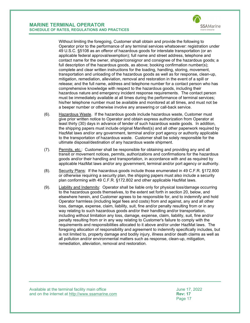**SSA** Marine

Without limiting the foregoing, Customer shall obtain and provide the following to Operator prior to the performance of any terminal services whatsoever: registration under 49 U.S.C. §5108 as an offeror of hazardous goods for interstate transportation (or an applicable federal approval/exemption); full name and street address, telephone and contact name for the owner, shipper/consignor and consignee of the hazardous goods; a full description of the hazardous goods, as above; booking confirmation number(s); complete and clear written instructions for the loading, handling, storing, movement, transportation and unloading of the hazardous goods as well as for response, clean-up, mitigation, remediation, alleviation, removal and restoration in the event of a spill or release; and the full name, address and telephone number for a contact person who has comprehensive knowledge with respect to the hazardous goods, including their hazardous nature and emergency incident response requirements. The contact person must be immediately available at all times during the performance of terminal services; his/her telephone number must be available and monitored at all times, and must not be a beeper number or otherwise involve any answering or call-back service.

- (6). Hazardous Waste. If the hazardous goods include hazardous waste, Customer must give prior written notice to Operator and obtain express authorization from Operator at least thirty (30) days in advance of tender of such hazardous waste goods. In addition, the shipping papers must include original Manifest(s) and all other paperwork required by HazMat laws and/or any government, terminal and/or port agency or authority applicable to the transportation of hazardous waste. Customer shall be solely responsible for the ultimate disposal/destination of any hazardous waste shipment.
- (7). Permits, etc.: Customer shall be responsible for obtaining and providing any and all transit or movement notices, permits, authorizations and confirmations for the hazardous goods and/or their handling and transportation, in accordance with and as required by applicable HazMat laws and/or any government, terminal and/or port agency or authority.
- (8). Security Plans: If the hazardous goods include those enumerated in 49 C.F.R. §172.800 or otherwise requiring a security plan, the shipping papers must also include a security plan conforming with 49 C.F.R. §172.802 and other applicable HazMat laws.
- (9). Liability and Indemnity: Operator shall be liable only for physical loss/damage occurring to the hazardous goods themselves, to the extent set forth in section [20,](#page-29-2) below, and elsewhere herein, and Customer agrees to be responsible for, and to indemnify and hold Operator harmless (including legal fees and costs) from and against, any and all other loss, damage, expense, claim, liability, suit, fine and/or penalty resulting from or in any way relating to such hazardous goods and/or their handling and/or transportation, including without limitation any loss, damage, expense, claim, liability, suit, fine and/or penalty resulting from or in any way relating to Customer's failure to comply with the requirements and responsibilities allocated to it above and/or under HazMat laws. The foregoing allocation of responsibility and agreement to indemnify specifically includes, but is not limited to, property damage and bodily injury, illness and/or death claims as well as all pollution and/or environmental matters such as response, clean-up, mitigation, remediation, alleviation, removal and restoration.

Available at the terminal facility main office June 17, 2022 and on the internet at <u>http://www.ssamarine.com</u><br>Page 17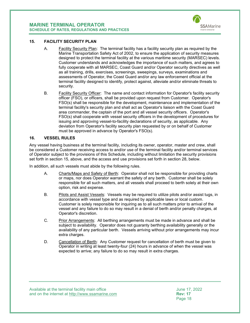

#### <span id="page-18-0"></span>**15. FACILITY SECURITY PLAN**

- A. Facility Security Plan: The terminal facility has a facility security plan as required by the Marine Transportation Safety Act of 2002, to ensure the application of security measures designed to protect the terminal facility at the various maritime security (MARSEC) levels. Customer understands and acknowledges the importance of such matters, and agrees to fully cooperate with all MARSEC, Coast Guard and/or Operator security directives as well as all training, drills, exercises, screenings, sweepings, surveys, examinations and assessments of Operator, the Coast Guard and/or any law enforcement official at the terminal facility designed to identify, protect against, alleviate and/or eliminate threats to security.
- B. Facility Security Officer: The name and contact information for Operator's facility security officer (FSO), or officers, shall be provided upon request from Customer. Operator's FSO(s) shall be responsible for the development, maintenance and implementation of the terminal facility's security plan and shall act as Operator's liaison with the Coast Guard area commander, the captain of the port and all vessel security officers. Operator's FSO(s) shall cooperate with vessel security officers in the development of procedures for issuing and approving vessel-to-facility declarations of security, as applicable. Any deviation from Operator's facility security plan requested by or on behalf of Customer must be approved in advance by Operator's FSO(s).

#### <span id="page-18-1"></span>**16. VESSEL RULES**

Any vessel having business at the terminal facility, including its owner, operator, master and crew, shall be considered a Customer receiving access to and/or use of the terminal facility and/or terminal services of Operator subject to the provisions of this Schedule, including without limitation the security provisions set forth in section [15,](#page-18-0) above, and the access and use provisions set forth in section [28,](#page-31-2) below.

In addition, all such vessels must abide by the following rules.

- A. Charts/Maps and Safety of Berth: Operator shall not be responsible for providing charts or maps, nor does Operator warrant the safety of any berth. Customer shall be solely responsible for all such matters, and all vessels shall proceed to berth solely at their own option, risk and expense.
- B. Pilots and Assist Vessels: Vessels may be required to utilize pilots and/or assist tugs, in accordance with vessel type and as required by applicable laws or local custom. Customer is solely responsible for inquiring as to all such matters prior to arrival of the vessel and any failure to do so may result in a denial of berth and/or penalty charges, at Operator's discretion.
- C. Prior Arrangements: All berthing arrangements must be made in advance and shall be subject to availability. Operator does not guaranty berthing availability generally or the availability of any particular berth. Vessels arriving without prior arrangements may incur extra charges.
- D. Cancellation of Berth: Any Customer request for cancellation of berth must be given to Operator in writing at least twenty-four (24) hours in advance of when the vessel was expected to arrive; any failure to do so may result in extra charges.

Available at the terminal facility main office<br>and on the internet at http://www.ssamarine.com<br>Rev: 17 and on the internet at <u>http://www.ssamarine.com</u><br>Page 18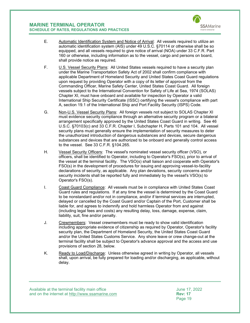

- E. Automatic Identification System and Notice of Arrival: All vessels required to utilize an automatic identification system (AIS) under 49 U.S.C. §70114 or otherwise shall be so equipped, and all vessels required to give notice of arrival (NOA) under 33 C.F.R. Part 160 or otherwise, including information as to the vessel, cargo and persons on board, shall provide notice as required.
- F. U.S. Vessel Security Plans: All United States vessels required to have a security plan under the Marine Transportation Safety Act of 2002 shall confirm compliance with applicable Department of Homeland Security and United States Coast Guard regulations upon request by providing Operator with a copy of its letter of approval from the Commanding Officer, Marine Safety Center, United States Coast Guard. All foreign vessels subject to the International Convention for Safety of Life at Sea, 1974 (SOLAS) Chapter XI, must have onboard and available for inspection by Operator a valid International Ship Security Certificate (ISSC) certifying the vessel's compliance with part A, section 19.1 of the International Ship and Port Facility Security (ISPS) Code.
- G. Non-U.S. Vessel Security Plans: All foreign vessels not subject to SOLAS Chapter XI must evidence security compliance through an alternative security program or a bilateral arrangement specifically approved by the United States Coast Guard in writing. See 46 U.S.C. §70103(c) and 33 C.F.R. Chapter I, Subchapter H, Parts 101 and 104. All vessel security plans must generally ensure the implementation of security measures to deter the unauthorized introduction of dangerous substances and devices, secure dangerous substances and devices that are authorized to be onboard and generally control access to the vessel. See 33 C.F.R. §104.265.
- H. Vessel Security Officers: The vessel's nominated vessel security officer (VSO), or officers, shall be identified to Operator, including to Operator's FSO(s), prior to arrival of the vessel at the terminal facility. The VSO(s) shall liaison and cooperate with Operator's FSO(s) in the development of procedures for issuing and approving vessel-to-facility declarations of security, as applicable. Any plan deviations, security concerns and/or security incidents shall be reported fully and immediately by the vessel's VSO(s) to Operator's FSO(s).
- I. Coast Guard Compliance: All vessels must be in compliance with United States Coast Guard rules and regulations. If at any time the vessel is determined by the Coast Guard to be nonstandard and/or not in compliance, and/or if terminal services are interrupted, delayed or cancelled by the Coast Guard and/or Captain of the Port, Customer shall be liable for, and agrees to indemnify and hold harmless Operator from and against (including legal fees and costs) any resulting delay, loss, damage, expense, claim, liability, suit, fine and/or penalty.
- J. Crewmembers: Vessel crewmembers must be ready to show valid identification including appropriate evidence of citizenship as required by Operator, Operator's facility security plan, the Department of Homeland Security, the United States Coast Guard and/or the United States Customs Service. Any shore leave or crew change-out at the terminal facility shall be subject to Operator's advance approval and the access and use provisions of section [28,](#page-31-2) below.
- K. Ready to Load/Discharge: Unless otherwise agreed in writing by Operator, all vessels shall, upon arrival, be fully prepared for loading and/or discharging, as applicable, without delay.

Available at the terminal facility main office<br>and on the internet at http://www.ssamarine.com<br>Rev: 17 and on the internet at <u>http://www.ssamarine.com</u><br>Page 19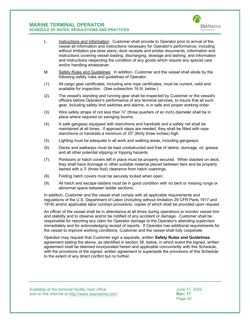

- L. Instructions and Information: Customer shall provide to Operator prior to arrival of the vessel all information and instructions necessary for Operator's performance, including without limitation pre-stow plans, dock receipts and similar documents, information and instructions covering vessel loading, discharging, stowage and lashing, and information and instructions respecting the condition of any goods which require any special care and/or handling whatsoever.
- M. Safety Rules and Guidelines: In addition, Customer and the vessel shall abide by the following safety rules and guidelines of Operator.
- (1). All cargo gear certificates, including wire rope certificates, must be current, valid and available for inspection. (See subsection [16.N,](#page-21-0) below.)
- (2). The vessel's standing and running gear shall be inspected by Customer or the vessel's officers before Operator's performance of any terminal services, to insure that all such gear, including safety limit switches and alarms, is in safe and proper working order.
- (3). Wire safety straps of not less than  $\frac{3}{4}$ " (three quarters of an inch) diameter shall be in place where required on swinging booms.
- (4). A safe gangway equipped with stanchions and handrails and a safety net shall be maintained at all times. If approach steps are needed, they shall be fitted with rope stanchions or handrails a minimum of 33" (thirty three inches) high.
- (5). Lighting must be adequate in all work and walking areas, including gangways.
- (6). Decks and walkways must be kept unobstructed and free of debris, dunnage, oil, grease and all other potential slipping or tripping hazards.
- (7). Pontoons or hatch covers left in place must be properly secured. When stacked on deck, they shall have dunnage or other suitable material placed between tiers and be properly lashed with a 3' (three foot) clearance from hatch coamings.
- (8). Folding hatch covers must be securely locked when open.
- (9). All hatch and escape ladders must be in good condition with no bent or missing rungs or abnormal space between ladder sections.

In addition, Customer and the vessel shall comply with all applicable requirements and regulations of the U.S. Department of Labor (including without limitation 29 CFR Parts 1917 and 1918) and/or applicable labor contract provisions, copies of which shall be provided upon request.

An officer of the vessel shall be in attendance at all times during operations to monitor vessel trim and stability and to observe and/or be notified of any accident or damage. Customer shall be responsible for reporting any claim for Operator damage to the Operator's attending supervisor immediately and for acknowledging receipt of reports. If Operator has additional requirements for the vessel to improve working conditions, Customer and the vessel shall fully cooperate.

Operator may request that Customer sign a separate, written **Safety Rules and Guidelines**  agreement stating the above, as identified in section [38,](#page-47-0) below, in which event the signed, written agreement shall be deemed incorporated herein and applicable concurrently with this Schedule, with the provisions of the signed, written agreement to supersede the provisions of this Schedule to the extent of any direct conflict but no further.

Available at the terminal facility main office June 17, 2022 and on the internet at <u>http://www.ssamarine.com</u><br>Page 20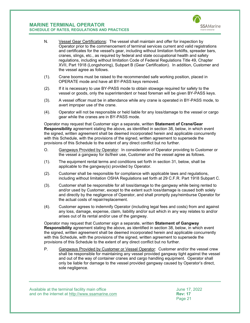

- <span id="page-21-0"></span>N. Vessel Gear Certifications: The vessel shall maintain and offer for inspection by Operator prior to the commencement of terminal services current and valid registrations and certificates for the vessel's gear, including without limitation forklifts, spreader bars, cranes, slings, etc., as required by federal and state occupational health and safety regulations, including without limitation Code of Federal Regulations Title 49, Chapter XVII, Part 1918 (Longshoring), Subpart B (Gear Certification). In addition, Customer and the vessel agree as follows.
- (1). Crane booms must be raised to the recommended safe working position, placed in OPERATE mode and have all BY-PASS keys removed.
- (2). If it is necessary to use BY-PASS mode to obtain stowage required for safety to the vessel or goods, only the superintendent or head foreman will be given BY-PASS keys.
- (3). A vessel officer must be in attendance while any crane is operated in BY-PASS mode, to avert improper use of the crane.
- (4). Operator will not be responsible or held liable for any loss/damage to the vessel or cargo gear while the cranes are in BY-PASS mode.

Operator may request that Customer sign a separate, written **Statement of Crane/Gear Responsibility** agreement stating the above, as identified in section [38,](#page-47-0) below, in which event the signed, written agreement shall be deemed incorporated herein and applicable concurrently with this Schedule, with the provisions of the signed, written agreement to supersede the provisions of this Schedule to the extent of any direct conflict but no further.

- O. Gangways Provided by Operator: In consideration of Operator providing to Customer or the vessel a gangway for its/their use, Customer and the vessel agree as follows.
- (1). The equipment rental terms and conditions set forth in section [31,](#page-39-0) below, shall be applicable to the gangway(s) provided by Operator.
- (2). Customer shall be responsible for compliance with applicable laws and regulations, including without limitation OSHA Regulations set forth at 29 C.F.R. Part 1918 Subpart C.
- (3). Customer shall be responsible for all loss/damage to the gangway while being rented to and/or used by Customer, except to the extent such loss/damage is caused both solely and directly by the negligence of Operator, and shall promptly pay/reimburse Operator for the actual costs of repair/replacement.
- (4). Customer agrees to indemnify Operator (including legal fees and costs) from and against any loss, damage, expense, claim, liability and/or suit which in any way relates to and/or arises out of its rental and/or use of the gangway.

Operator may request that Customer sign a separate, written **Statement of Gangway Responsibility** agreement stating the above, as identified in section [38,](#page-47-0) below, in which event the signed, written agreement shall be deemed incorporated herein and applicable concurrently with this Schedule, with the provisions of the signed, written agreement to supersede the provisions of this Schedule to the extent of any direct conflict but no further.

P. Gangways Provided by Customer or Vessel Operator: Customer and/or the vessel crew shall be responsible for maintaining any vessel provided gangway tight against the vessel and out of the way of container cranes and cargo handling equipment. Operator shall only be liable for damage to the vessel provided gangway caused by Operator's direct, sole negligence.

Available at the terminal facility main office<br>and on the internet at http://www.ssamarine.com<br>Rev: 17 and on the internet at <u>http://www.ssamarine.com</u><br>Page 21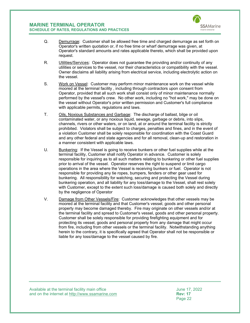

- Q. Demurrage: Customer shall be allowed free time and charged demurrage as set forth on Operator's written quotation or, if no free time or wharf demurrage was given, at Operator's standard amounts and rates applicable thereto, which shall be provided upon request.
- R. **Utilities/Services:** Operator does not guarantee the providing and/or continuity of any utilities or services to the vessel, nor their characteristics or compatibility with the vessel. Owner disclaims all liability arising from electrical service, including electrolytic action on the vessel.
- S. Work on Vessel: Customer may perform minor maintenance work on the vessel while moored at the terminal facility , including through contractors upon consent from Operator, provided that all such work shall consist only of minor maintenance normally performed by the vessel's crew. No other work, including no "hot work," may be done on the vessel without Operator's prior written permission and Customer's full compliance with applicable permits, regulations and laws.
- T. Oils, Noxious Substances and Garbage: The discharge of ballast, bilge or oil contaminated water, or any noxious liquid, sewage, garbage or debris, into slips, channels, rivers or other waters, or on land, at or around the terminal facility is strictly prohibited. Violators shall be subject to charges, penalties and fines, and in the event of a violation Customer shall be solely responsible for coordination with the Coast Guard and any other federal and state agencies and for all removal, clean-up and restoration in a manner consistent with applicable laws.
- U. Bunkering: If the Vessel is going to receive bunkers or other fuel supplies while at the terminal facility, Customer shall notify Operator in advance. Customer is solely responsible for inquiring as to all such matters relating to bunkering or other fuel supplies prior to arrival of the vessel. Operator reserves the right to suspend or limit cargo operations in the area where the Vessel is receiving bunkers or fuel. Operator is not responsible for providing any tie ropes, bumpers, fenders or other gear used for bunkering. All responsibility for watching, securing and protecting the Vessel during bunkering operation, and all liability for any loss/damage to the Vessel, shall rest solely with Customer, except to the extent such loss/damage is caused both solely and directly by the negligence of Operator
- V. Damage from Other Vessels/Fire: Customer acknowledges that other vessels may be moored at the terminal facility and that Customer's vessel, goods and other personal property may become damaged thereby. Fire may originate on other vessels and/or at the terminal facility and spread to Customer's vessel, goods and other personal property. Customer shall be solely responsible for providing firefighting equipment and for protecting its vessel, goods and personal property from any damage that might occur from fire, including from other vessels or the terminal facility. Notwithstanding anything herein to the contrary, it is specifically agreed that Operator shall not be responsible or liable for any loss/damage to the vessel caused by fire.

Available at the terminal facility main office<br>and on the internet at http://www.ssamarine.com<br>Rev: 17 and on the internet at <u>http://www.ssamarine.com</u><br>Page 22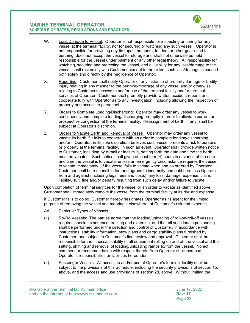

- W. Loss/Damage to Vessel: Operator is not responsible for inspecting or caring for any vessel at the terminal facility, nor for securing or watching any such vessel. Operator is not responsible for providing any tie ropes, bumpers, fenders or other gear used for berthing, does not accept the vessel for storage and shall not otherwise be held responsible for the vessel under bailment or any other legal theory. All responsibility for watching, securing and protecting the vessel, and all liability for any loss/damage to the vessel, shall rest solely with Customer, except to the extent such loss/damage is caused both solely and directly by the negligence of Operator.
- X. Reporting: Customer shall notify Operator of any instance of property damage or bodily injury relating in any manner to the berthing/moorage of any vessel and/or otherwise relating to Customer's access to and/or use of the terminal facility and/or terminal services of Operator. Customer shall promptly provide written accident reports and cooperate fully with Operator as to any investigation, including allowing the inspection of property and access to personnel.
- Y. Orders to Complete Loading/Discharging: Operator may order any vessel to work continuously and complete loading/discharging promptly in order to alleviate current or prospective congestion at the terminal facility. Reassignment of berth, if any, shall be subject at Operator's discretion.
- Z. Orders to Vacate Berth and Removal of Vessel: Operator may order any vessel to vacate its berth if it fails to cooperate with an order to complete loading/discharging and/or if Operator, in its sole discretion, believes such vessel presents a risk to persons or property at the terminal facility. In such an event, Operator shall provide written notice to Customer, including by e-mail or facsimile, setting forth the date and time the berth must be vacated. Such notice shall given at least four (4) hours in advance of the date and time the vessel is to vacate, unless an emergency circumstance requires the vessel to vacate immediately. If the vessel fails to vacate when and as ordered by Operator, Customer shall be responsible for, and agrees to indemnify and hold harmless Operator from and against (including legal fees and costs), any loss, damage, expense, claim, liability, suit, fine and/or penalty resulting from such delay and/or failure to vacate.

Upon completion of terminal services for the vessel or an order to vacate as identified above, Customer shall immediately remove the vessel from the terminal facility at its risk and expense.

If Customer fails to do so, Customer hereby designates Operator as its agent for the limited purpose of removing the vessel and mooring it elsewhere, at Customer's risk and expense.

- AA. Particular Types of Vessels:
- (1). Ro-Ro Vessels: The parties agree that the loading/unloading of roll-on-roll-off vessels requires special experience, training and expertise, and that all such loading/unloading shall be performed under the direction and control of Customer, in accordance with instructions, stability information, stow plans and cargo stability plans furnished by Customer, and subject to Customer's final review and approval. Customer shall be responsible for the fitness/suitability of all equipment rolling on and off the vessel and the setting, shifting and removal of loading/unloading ramps to/from the vessel. No act, comment or recommendation with respect thereto from Operator shall increase Operator's responsibilities or liabilities hereunder.
- (2). Passenger Vessels: All access to and/or use of Operator's terminal facility shall be subject to the provisions of this Schedule, including the security provisions of section [15,](#page-18-0) above, and the access and use provisions of section [28,](#page-31-2) above. Without limiting the

Available at the terminal facility main office<br>and on the internet at http://www.ssamarine.com<br>Rev: 17 and on the internet at <u>http://www.ssamarine.com</u><br>Page 23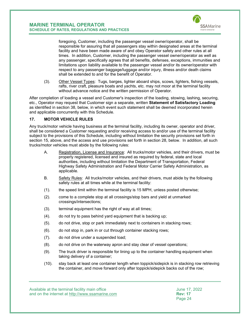

foregoing, Customer, including the passenger vessel owner/operator, shall be responsible for assuring that all passengers stay within designated areas at the terminal facility and have been made aware of and obey Operator safety and other rules at all times. In addition, Customer, including the passenger vessel owner/operator as well as any passenger, specifically agrees that all benefits, defenses, exceptions, immunities and limitations upon liability available to the passenger vessel and/or its owner/operator with respect to any passenger baggage/luggage and/or injury, illness and/or death claims shall be extended to and for the benefit of Operator.

(3). Other Vessel Types: Tugs, barges, lighter aboard ships, scows, lighters, fishing vessels, rafts, river craft, pleasure boats and yachts, etc. may not moor at the terminal facility without advance notice and the written permission of Operator.

After completion of loading a vessel and Customer's inspection of the loading, stowing, lashing, securing, etc., Operator may request that Customer sign a separate, written **Statement of Satisfactory Loading**  as identified in section [38,](#page-47-0) below, in which event such statement shall be deemed incorporated herein and applicable concurrently with this Schedule.

## <span id="page-24-0"></span>**17. MOTOR VEHICLE RULES**

Any truck/motor vehicle having business at the terminal facility, including its owner, operator and driver, shall be considered a Customer requesting and/or receiving access to and/or use of the terminal facility subject to the provisions of this Schedule, including without limitation the security provisions set forth in section [15,](#page-18-0) above, and the access and use provisions set forth in section [28,](#page-31-2) below. In addition, all such trucks/motor vehicles must abide by the following rules:

- A. Registration, License and Insurance: All trucks/motor vehicles, and their drivers, must be properly registered, licensed and insured as required by federal, state and local authorities, including without limitation the Department of Transportation, Federal Highway Safety Administration and Federal Motor Carrier Safety Administration, as applicable.
- B. Safety Rules: All trucks/motor vehicles, and their drivers, must abide by the following safety rules at all times while at the terminal facility:
- (1). the speed limit within the terminal facility is 15 MPH, unless posted otherwise;
- (2). come to a complete stop at all crossings/stop bars and yield at unmarked crossings/intersections;
- (3). terminal equipment has the right of way at all times;
- (4). do not try to pass behind yard equipment that is backing up;
- (5). do not drive, stop or park immediately next to containers in stacking rows;
- (6). do not stop in, park in or cut through container stacking rows;
- (7). do not drive under a suspended load;
- (8). do not drive on the waterway apron and stay clear of vessel operations;
- (9). The truck driver is responsible for lining up to the container handling equipment when taking delivery of a container;
- (10). stay back at least one container length when toppick/sidepick is in stacking row retrieving the container, and move forward only after toppick/sidepick backs out of the row;

Available at the terminal facility main office June 17, 2022 and on the internet at <u>http://www.ssamarine.com</u><br>Page 24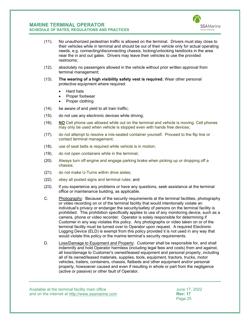

- (11). No unauthorized pedestrian traffic is allowed on the terminal. Drivers must stay close to their vehicles while in terminal and should be out of their vehicle only for actual operating needs, e.g. connecting/disconnecting chassis, locking/unlocking twistlocks in the area near the in and out gates. Drivers may leave their vehicles to use the provided restrooms;
- (12). absolutely no passengers allowed in the vehicle without prior written approval from terminal management;
- (13). **The wearing of a high visibility safety vest is required.** Wear other personal protective equipment where required:
	- Hard hats
	- Proper footwear
	- Proper clothing
- (14). be aware of and yield to all train traffic;
- (15). do not use any electronic devices while driving;
- (16). **NO** Cell phone use allowed while out on the terminal and vehicle is moving. Cell phones may only be used when vehicle is stopped even with hands free devices;
- (17). do not attempt to resolve a mis-seated container yourself. Proceed to the flip line or contact terminal management;
- (18). use of seat belts is required while vehicle is in motion;
- (19). do not open containers while in the terminal;
- (20). Always turn off engine and engage parking brake when picking up or dropping off a chassis;
- (21). do not make U-Turns within drive aisles;
- (22). obey all posted signs and terminal rules; and
- (23). if you experience any problems or have any questions, seek assistance at the terminal office or maintenance building, as applicable.
- C. Photography: Because of the security requirements at the terminal facilities, photography or video recording on or of the terminal facility that would intentionally violate an individual's privacy or endanger the security/safety of persons on the terminal facility is prohibited. This prohibition specifically applies to use of any monitoring device, such as a camera, phone or video recorder. Operator is solely responsible for determining if Customer in any way violates this policy. Any photographs or video taken on or of the terminal facility must be turned over to Operator upon request. A required Electronic Logging Device (ELD) is exempt from this policy provided it is not used in any way that would violate this policy or the marine terminal's security requirements.
- D. Loss/Damage to Equipment and Property: Customer shall be responsible for, and shall indemnify and hold Operator harmless (including legal fees and costs) from and against, all loss/damage to Customer's owned/leased equipment and personal property, including all of its owned/leased materials, supplies, tools, equipment, tractors, trucks, motor vehicles, trailers, containers, chassis, flatbeds and other equipment and/or personal property, howsoever caused and even if resulting in whole or part from the negligence (active or passive) or other fault of Operator.

Available at the terminal facility main office June 17, 2022 and on the internet at <u>http://www.ssamarine.com</u><br>Page 25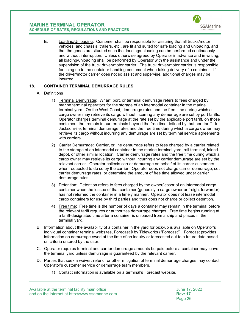

E. Loading/Unloading: Customer shall be responsible for assuring that all trucks/motor vehicles, and chassis, trailers, etc., are fit and suited for safe loading and unloading, and that the goods are situated such that loading/unloading can be performed continuously and without interruption. Unless otherwise agreed by Operator in advance and in writing, all loading/unloading shall be performed by Operator with the assistance and under the supervision of the truck driver/motor carrier. The truck driver/motor carrier is responsible for lining up to the container handling equipment when taking delivery of a container. If the driver/motor carrier does not so assist and supervise, additional charges may be incurred.

#### <span id="page-26-0"></span>**18. CONTAINER TERMINAL DEMURRAGE RULES**

#### A. Definitions

- 1) Terminal Demurrage: Wharf, port, or terminal demurrage refers to fees charged by marine terminal operators for the storage of an intermodal container in the marine terminal yard. On the West Coast, demurrage rates and the free time during which a cargo owner may retrieve its cargo without incurring any demurrage are set by port tariffs. Operator charges terminal demurrage at the rate set by the applicable port tariff, on those containers that remain in our terminals beyond the free time defined by that port tariff. In Jacksonville, terminal demurrage rates and the free time during which a cargo owner may retrieve its cargo without incurring any demurrage are set by terminal service agreements with carriers.
- 2) Carrier Demurrage: Carrier, or line demurrage refers to fees charged by a carrier related to the storage of an intermodal container in the marine terminal yard, rail terminal, inland depot, or other similar location. Carrier demurrage rates and the free time during which a cargo owner may retrieve its cargo without incurring any carrier demurrage are set by the relevant carrier. Operator collects carrier demurrage on behalf of its carrier customers when requested to do so by the carrier. Operator does not charge carrier demurrage, set carrier demurrage rates, or determine the amount of free time allowed under carrier demurrage rules.
- 3) Detention: Detention refers to fees charged by the owner/lessor of an intermodal cargo container when the lessee of that container (generally a cargo owner or freight forwarder) has not returned the container in a timely manner. Operator does not lease intermodal cargo containers for use by third parties and thus does not charge or collect detention.
- 4) Free time: Free time is the number of days a container may remain in the terminal before the relevant tariff requires or authorizes demurrage charges. Free time begins running at a tariff-designated time after a container is unloaded from a ship and placed in the terminal yard.
- B. Information about the availability of a container in the yard for pick-up is available on Operator's individual container terminal websites, Forecast® by Tideworks ("Forecast"). Forecast provides information on demurrage owed at the time of an inquiry or forecasted out to a future date based on criteria entered by the user.
- C. Operator requires terminal and carrier demurrage amounts be paid before a container may leave the terminal yard unless demurrage is guaranteed by the relevant carrier.
- D. Parties that seek a waiver, refund, or other mitigation of terminal demurrage charges may contact Operator's customer service or demurrage team members.
	- 1) Contact information is available on a terminal's Forecast website.

Available at the terminal facility main office<br>and on the internet at http://www.ssamarine.com<br>Rev: 17 and on the internet at <u>http://www.ssamarine.com</u><br>Page 26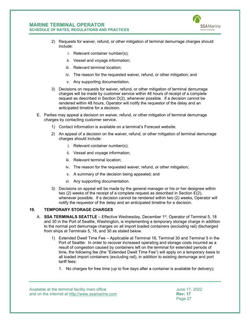

- 2) Requests for waiver, refund, or other mitigation of terminal demurrage charges should include:
	- i. Relevant container number(s);
	- ii. Vessel and voyage information;
	- iii. Relevant terminal location;
	- iv. The reason for the requested waiver, refund, or other mitigation; and
	- v. Any supporting documentation.
- 3) Decisions on requests for waiver, refund, or other mitigation of terminal demurrage charges will be made by customer service within 48 hours of receipt of a complete request as described in Section D(2), whenever possible. If a decision cannot be rendered within 48 hours, Operator will notify the requestor of the delay and an anticipated timeline for a decision.
- E. Parties may appeal a decision on waiver, refund, or other mitigation of terminal demurrage charges by contacting customer service.
	- 1) Contact information is available on a terminal's Forecast website.
	- 2) An appeal of a decision on the waiver, refund, or other mitigation of terminal demurrage charges should include:
		- i. Relevant container number(s);
		- ii. Vessel and voyage information;
		- iii. Relevant terminal location;
		- iv. The reason for the requested waiver, refund, or other mitigation;
		- v. A summary of the decision being appealed; and
		- vi. Any supporting documentation.
	- 3) Decisions on appeal will be made by the general manager or his or her designee within two (2) weeks of the receipt of a complete request as described in Section E(2), whenever possible. If a decision cannot be rendered within two (2) weeks, Operator will notify the requestor of the delay and an anticipated timeline for a decision.

## <span id="page-27-0"></span>**19. TEMPORARY STORAGE CHARGES**

- A. **SSA TERMINALS SEATTLE** Effective Wednesday, December 1<sup>st</sup>, Operator of Terminal 5, 18 and 30 in the Port of Seattle, Washington, is implementing a temporary storage charge in addition to the normal port demurrage charges on all import loaded containers (excluding rail) discharged from ships at Terminals 5, 18, and 30 as stated below.
	- 1) Extended Dwell Time Fee Applicable at Terminal 18, Terminal 30 and Terminal 5 in the Port of Seattle: In order to recover increased operating and storage costs incurred as a result of congestion caused by containers left on the terminal for extended periods of time, the following fee (the "Extended Dwell Time Fee") will apply on a temporary basis to all loaded import containers (excluding rail), in addition to existing demurrage and port tariff fees:
		- 1. No charges for free time (up to five days after a container is available for delivery);

Available at the terminal facility main office June 17, 2022 and on the internet at <u>http://www.ssamarine.com</u> **Rev: 17**<br>Page 27

Page 27 (1999) and the control of the control of the control of the control of the control of the control of the control of the control of the control of the control of the control of the control of the control of the cont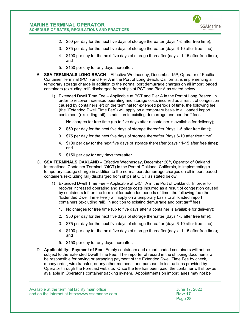

- 2. \$50 per day for the next five days of storage thereafter (days 1-5 after free time);
- 3. \$75 per day for the next five days of storage thereafter (days 6-10 after free time);
- 4. \$100 per day for the next five days of storage thereafter (days 11-15 after free time); and
- 5. \$150 per day for any days thereafter.
- B. **SSA TERMINALS LONG BEACH** Effective Wednesday, December 15<sup>th</sup>, Operator of Pacific Container Terminal (PCT) and Pier A in the Port of Long Beach, California, is implementing a temporary storage charge in addition to the normal port demurrage charges on all import loaded containers (excluding rail) discharged from ships at PCT and Pier A as stated below.
	- 1) Extended Dwell Time Fee Applicable at PCT and Pier A in the Port of Long Beach: In order to recover increased operating and storage costs incurred as a result of congestion caused by containers left on the terminal for extended periods of time, the following fee (the "Extended Dwell Time Fee") will apply on a temporary basis to all loaded import containers (excluding rail), in addition to existing demurrage and port tariff fees:
		- 1. No charges for free time (up to five days after a container is available for delivery);
		- 2. \$50 per day for the next five days of storage thereafter (days 1-5 after free time);
		- 3. \$75 per day for the next five days of storage thereafter (days 6-10 after free time);
		- 4. \$100 per day for the next five days of storage thereafter (days 11-15 after free time); and
		- 5. \$150 per day for any days thereafter.
- C. **SSA TERMINALS OAKLAND** Effective Wednesday, December 20<sup>th</sup>, Operator of Oakland International Container Terminal (OICT) in the Port of Oakland, California, is implementing a temporary storage charge in addition to the normal port demurrage charges on all import loaded containers (excluding rail) discharged from ships at OICT as stated below.
	- 1) Extended Dwell Time Fee Applicable at OICT A in the Port of Oakland: In order to recover increased operating and storage costs incurred as a result of congestion caused by containers left on the terminal for extended periods of time, the following fee (the "Extended Dwell Time Fee") will apply on a temporary basis to all loaded import containers (excluding rail), in addition to existing demurrage and port tariff fees:
		- 1. No charges for free time (up to five days after a container is available for delivery);
		- 2. \$50 per day for the next five days of storage thereafter (days 1-5 after free time);
		- 3. \$75 per day for the next five days of storage thereafter (days 6-10 after free time);
		- 4. \$100 per day for the next five days of storage thereafter (days 11-15 after free time); and
		- 5. \$150 per day for any days thereafter.
- D. **Applicability: Payment of Fee**. Empty containers and export loaded containers will not be subject to the Extended Dwell Time Fee. The importer of record in the shipping documents will be responsible for paying or arranging payment of the Extended Dwell Time Fee by check, money order, wire transfer, or any other methods, and pursuant to instructions provided by Operator through the Forecast website. Once the fee has been paid, the container will show as available in Operator's container tracking system. Appointments on import lanes may not be

Available at the terminal facility main office<br>and on the internet at http://www.ssamarine.com<br>Rev: 17 and on the internet at <u>http://www.ssamarine.com</u> **Rev: 17**<br>Page 28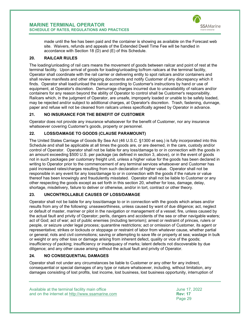

made until the fee has been paid and the container is showing as available on the Forecast web site. Waivers, refunds and appeals of the Extended Dwell Time Fee will be handled in accordance with Section [18 \(](#page-26-0)D) and (E) of this Schedule.

## <span id="page-29-0"></span>**20. RAILCAR RULES**

The loading/unloading of rail cars means the movement of goods between railcar and point of rest at the terminal facility. Upon arrival of goods for loading/unloading to/from railcars at the terminal facility, Operator shall coordinate with the rail carrier or delivering entity to spot railcars and/or containers and shall review manifests and other shipping documents and notify Customer of any discrepancy which it finds. Operator shall load/unload the railcar according to Customer's instructions by hand or use of equipment, at Operator's discretion. Demurrage charges incurred due to unavailability of railcars and/or containers for any reason beyond the ability of Operator to control shall be Customer's responsibility. Railcars which, in the judgment of Operator, are unsafe, improperly loaded or unable to be safely loaded, may be rejected and/or subject to additional charges, at Operator's discretion. Trash, fastening, dunnage, paper and refuse will not be cleaned from railcars unless specifically agreed by Operator in advance.

## <span id="page-29-1"></span>**21. NO INSURANCE FOR THE BENEFIT OF CUSTOMER**

Operator does not provide any insurance whatsoever for the benefit of Customer, nor any insurance whatsoever covering Customer's goods, property or personnel.

## <span id="page-29-2"></span>**22. LOSS/DAMAGE TO GOODS (CLAUSE PARAMOUNT)**

The United States Carriage of Goods By Sea Act (46 U.S.C. §1300 et seq.) is fully incorporated into this Schedule and shall be applicable at all times the goods are, or are deemed, in the care, custody and/or control of Operator. Operator shall not be liable for any loss/damage to or in connection with the goods in an amount exceeding \$500 U.S. per package (as defined in section [3,](#page-7-0) above), or in the event of goods not in such packages per customary freight unit, unless a higher value for the goods has been declared in writing to Operator prior to the commencement of any terminal services whatsoever and Customer has paid increased rates/charges resulting from such declaration of higher value. Operator shall not be responsible in any event for any loss/damage to or in connection with the goods if the nature or value thereof has been knowingly and fraudulently misstated. Operator shall not be liable to Customer or any other respecting the goods except as set forth in this section [20,](#page-29-2) whether for loss, damage, delay, shortage, misdelivery, failure to deliver or otherwise, and/or in tort, contract or other theory.

## <span id="page-29-3"></span>**23. UNCONTROLLABLE CAUSES OF LOSS/DAMAGE**

Operator shall not be liable for any loss/damage to or in connection with the goods which arises and/or results from any of the following: unseaworthiness, unless caused by want of due diligence; act, neglect or default of master, mariner or pilot in the navigation or management of a vessel; fire, unless caused by the actual fault and privity of Operator; perils, dangers and accidents of the sea or other navigable waters; act of God; act of war; act of public enemies (including terrorism); arrest or restraint of princes, rulers or people, or seizure under legal process; quarantine restrictions; act or omission of Customer, its agent or representative; strikes or lockouts or stoppage or restraint of labor from whatever cause, whether partial or general; riots and civil commotions; saving or attempting to save life or property at sea; wastage in bulk or weight or any other loss or damage arising from inherent defect, quality or vice of the goods; insufficiency of packing; insufficiency or inadequacy of marks; latent defects not discoverable by due diligence; and any other cause arising without the actual fault and privity of Operator.

## <span id="page-29-4"></span>**24. NO CONSEQUENTIAL DAMAGES**

Operator shall not under any circumstances be liable to Customer or any other for any indirect, consequential or special damages of any type or nature whatsoever, including, without limitation, any damages consisting of lost profits, lost income, lost business, lost business opportunity, interruption of

Available at the terminal facility main office June 17, 2022 and on the internet at <u>http://www.ssamarine.com</u><br>Page 29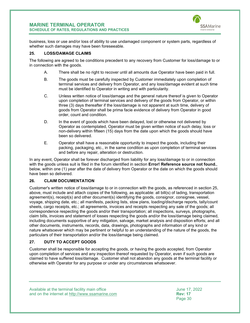

business, loss or use and/or loss of ability to use undamaged component or system parts, regardless of whether such damages may have been foreseeable.

## <span id="page-30-0"></span>**25. LOSS/DAMAGE CLAIMS**

The following are agreed to be conditions precedent to any recovery from Customer for loss/damage to or in connection with the goods.

- A. There shall be no right to recover until all amounts due Operator have been paid in full.
- B. The goods must be carefully inspected by Customer immediately upon completion of terminal services and delivery from Operator, and any loss/damage evident at such time must be identified to Operator in writing and with particularity.
- C. Unless written notice of loss/damage and the general nature thereof is given to Operator upon completion of terminal services and delivery of the goods from Operator, or within three (3) days thereafter if the loss/damage is not apparent at such time, delivery of goods from Operator shall be prima facie evidence of delivery from Operator in good order, count and condition.
- D. In the event of goods which have been delayed, lost or otherwise not delivered by Operator as contemplated, Operator must be given written notice of such delay, loss or non-delivery within fifteen (15) days from the date upon which the goods should have been so delivered.
- E. Operator shall have a reasonable opportunity to inspect the goods, including their packing, packaging, etc., in the same condition as upon completion of terminal services and before any repair, alteration or destruction.

In any event, Operator shall be forever discharged from liability for any loss/damage to or in connection with the goods unless suit is filed in the forum identified in section **Error! Reference source not found.**, below, within one (1) year after the date of delivery from Operator or the date on which the goods should have been so delivered.

## <span id="page-30-1"></span>**26. CLAIM DOCUMENTATION**

Customer's written notice of loss/damage to or in connection with the goods, as referenced in section [25,](#page-30-0) above, must include and attach copies of the following, as applicable: all bill(s) of lading, transportation agreement(s), receipt(s) and other document(s) identifying the goods, consignor, consignee, vessel, voyage, shipping date, etc.; all manifests, packing lists, stow plans, loading/discharge reports, tally/count sheets, cargo receipts, etc.; all agreements, invoices and receipts respecting any sale of the goods; all correspondence respecting the goods and/or their transportation; all inspections, surveys, photographs, claim bills, invoices and statement of losses respecting the goods and/or the loss/damage being claimed, including documents supportive of any mitigation, salvage, market analysis and disposition efforts; and all other documents, instruments, records, data, drawings, photographs and information of any kind or nature whatsoever which may be pertinent or helpful to an understanding of the nature of the goods, the particulars of their transportation and/or the loss/damage being claimed.

## <span id="page-30-2"></span>**27. DUTY TO ACCEPT GOODS**

Customer shall be responsible for accepting the goods, or having the goods accepted, from Operator upon completion of services and any inspection thereof requested by Operator, even if such goods are claimed to have suffered loss/damage. Customer shall not abandon any goods at the terminal facility or otherwise with Operator for any purpose or under any circumstances whatsoever.

Available at the terminal facility main office<br>and on the internet at http://www.ssamarine.com<br>Rev: 17 and on the internet at <u>http://www.ssamarine.com</u><br>Page 30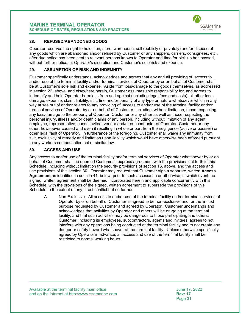

#### <span id="page-31-0"></span>**28. REFUSED/ABANDONED GOODS**

Operator reserves the right to hold, lien, store, warehouse, sell (publicly or privately) and/or dispose of any goods which are abandoned and/or refused by Customer or any shippers, carriers, consignees, etc., after due notice has been sent to relevant persons known to Operator and time for pick-up has passed, without further notice, at Operator's discretion and Customer's sole risk and expense.

#### <span id="page-31-1"></span>**29. ASSUMPTION OF RISK AND INDEMNITY**

Customer specifically understands, acknowledges and agrees that any and all providing of, access to and/or use of the terminal facility and/or terminal services of Operator by or on behalf of Customer shall be at Customer's sole risk and expense. Aside from loss/damage to the goods themselves, as addressed in section [22,](#page-29-2) above, and elsewhere herein, Customer assumes sole responsibility for, and agrees to indemnify and hold Operator harmless from and against (including legal fees and costs), all other loss, damage, expense, claim, liability, suit, fine and/or penalty of any type or nature whatsoever which in any way arises out of and/or relates to any providing of, access to and/or use of the terminal facility and/or terminal services of Operator by or on behalf of Customer, including, without limitation, those respecting any loss/damage to the property of Operator, Customer or any other as well as those respecting the personal injury, illness and/or death claims of any person, including without limitation of any agent, employee, representative, guest, invitee, vendor and/or subcontractor of Operator, Customer or any other, howsoever caused and even if resulting in whole or part from the negligence (active or passive) or other legal fault of Operator. In furtherance of the foregoing, Customer shall waive any immunity from suit, exclusivity of remedy and limitation upon liability which would have otherwise been afforded pursuant to any workers compensation act or similar law.

#### <span id="page-31-2"></span>**30. ACCESS AND USE**

Any access to and/or use of the terminal facility and/or terminal services of Operator whatsoever by or on behalf of Customer shall be deemed Customer's express agreement with the provisions set forth in this Schedule, including without limitation the security provisions of section [15,](#page-18-0) above, and the access and use provisions of this section [30.](#page-31-2) Operator may request that Customer sign a separate, written **Access Agreement** as identified in section [41,](#page-47-0) below, prior to such access/use or otherwise, in which event the signed, written agreement shall be deemed incorporated herein and applicable concurrently with this Schedule, with the provisions of the signed, written agreement to supersede the provisions of this Schedule to the extent of any direct conflict but no further.

A. Non-Exclusive: All access to and/or use of the terminal facility and/or terminal services of Operator by or on behalf of Customer is agreed to be non-exclusive and for the limited purpose requested by Customer and agreed by Operator. Customer understands and acknowledges that activities by Operator and others will be on-going at the terminal facility, and that such activities may be dangerous to those participating and others. Customer, including its employees, subcontractors, agents and invitees, agrees to not interfere with any operations being conducted at the terminal facility and to not create any danger or safety hazard whatsoever at the terminal facility. Unless otherwise specifically agreed by Operator in advance, all access and use of the terminal facility shall be restricted to normal working hours.

Available at the terminal facility main office<br>and on the internet at http://www.ssamarine.com<br>Rev: 17 and on the internet at <u>http://www.ssamarine.com</u><br>Page 31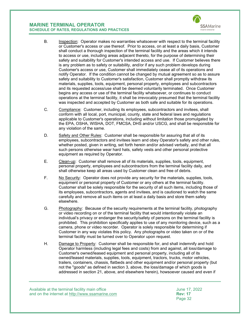

- B. Inspection: Operator makes no warranties whatsoever with respect to the terminal facility or Customer's access or use thereof. Prior to access, on at least a daily basis, Customer shall conduct a thorough inspection of the terminal facility and the areas which it intends to access or use, including areas adjacent thereto, for the purpose of determining their safety and suitability for Customer's intended access and use. If Customer believes there is any problem as to safety or suitability, and/or if any such problem develops during Customer's access or use, Customer shall immediately cease all of its operations and notify Operator. If the condition cannot be changed by mutual agreement so as to assure safety and suitability to Customer's satisfaction, Customer shall promptly withdraw its materials, supplies, tools, equipment, personal property, employees and subcontractors and its requested access/use shall be deemed voluntarily terminated. Once Customer begins any access or use of the terminal facility whatsoever, or continues to conduct operations at the terminal facility, it shall be irrevocably presumed that the terminal facility was inspected and accepted by Customer as both safe and suitable for its operations.
- C. Compliance: Customer, including its employees, subcontractors and invitees, shall conform with all local, port, municipal, county, state and federal laws and regulations applicable to Customer's operations, including without limitation those promulgated by the EPA, OSHA, WISHA, DOT, FMCSA, DHS and/or USCG, and shall be responsible for any violation of the same.
- D. Safety and Other Rules: Customer shall be responsible for assuring that all of its employees, subcontractors and invitees learn and obey Operator's safety and other rules, whether posted, given in writing, set forth herein and/or advised verbally, and that all such persons otherwise wear hard hats, safety vests and other personal protective equipment as required by Operator.
- E. Clean-up: Customer shall remove all of its materials, supplies, tools, equipment, personal property, employees and subcontractors from the terminal facility daily, and shall otherwise keep all areas used by Customer clean and free of debris.
- F. No Security: Operator does not provide any security for the materials, supplies, tools, equipment or personal property of Customer or any others at the terminal facility. Customer shall be solely responsible for the security of all such items, including those of its employees, subcontractors, agents and invitees, and is cautioned to watch the same carefully and remove all such items on at least a daily basis and store them safely elsewhere.
- G. Photography: Because of the security requirements at the terminal facility, photography or video recording on or of the terminal facility that would intentionally violate an individual's privacy or endanger the security/safety of persons on the terminal facility is prohibited. This prohibition specifically applies to use of any monitoring device, such as a camera, phone or video recorder. Operator is solely responsible for determining if Customer in any way violates this policy. Any photographs or video taken on or of the terminal facility must be turned over to Operator upon request.
- H. Damage to Property: Customer shall be responsible for, and shall indemnify and hold Operator harmless (including legal fees and costs) from and against, all loss/damage to Customer's owned/leased equipment and personal property, including all of its owned/leased materials, supplies, tools, equipment, tractors, trucks, motor vehicles, trailers, containers, chassis, flatbeds and other equipment and/or personal property (but not the "goods" as defined in section [3,](#page-7-0) above, the loss/damage of which goods is addressed in section [21,](#page-29-1) above, and elsewhere herein), howsoever caused and even if

Available at the terminal facility main office<br>and on the internet at http://www.ssamarine.com<br>Rev: 17 and on the internet at <u>http://www.ssamarine.com</u><br>Page 32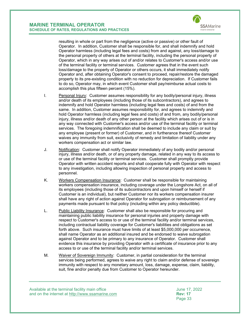

resulting in whole or part from the negligence (active or passive) or other fault of Operator. In addition, Customer shall be responsible for, and shall indemnify and hold Operator harmless (including legal fees and costs) from and against, any loss/damage to the personal property of others at the terminal facility, including the personal property of Operator, which in any way arises out of and/or relates to Customer's access and/or use of the terminal facility or terminal services. Customer agrees that in the event such loss/damage to the property of Operator or others occurs, it shall immediately notify Operator and, after obtaining Operator's consent to proceed, repair/restore the damaged property to its pre-existing condition with no reduction for depreciation. If Customer fails to do so, Operator may, in which event Customer shall pay/reimburse actual costs to accomplish this plus fifteen percent (15%).

- I. Personal Injury: Customer assumes responsibility for any bodily/personal injury, illness and/or death of its employees (including those of its subcontractors), and agrees to indemnify and hold Operator harmless (including legal fees and costs) of and from the same. In addition, Customer assumes responsibility for, and agrees to indemnify and hold Operator harmless (including legal fees and costs) of and from, any bodily/personal injury, illness and/or death of any other person at the facility which arises out of or is in any way connected with Customer's access and/or use of the terminal facility or terminal services. The foregoing indemnification shall be deemed to include any claim or suit by any employee (present or former) of Customer, and in furtherance thereof Customer waives any immunity from suit, exclusivity of remedy and limitation of liability under any workers compensation act or similar law.
- J. Notification: Customer shall notify Operator immediately of any bodily and/or personal injury, illness and/or death, or of any property damage, related in any way to its access to or use of the terminal facility or terminal services. Customer shall promptly provide Operator with written accident reports and shall cooperate fully with Operator with respect to any investigation, including allowing inspection of personal property and access to personnel.
- K. Workers Compensation Insurance: Customer shall be responsible for maintaining workers compensation insurance, including coverage under the Longshore Act, on all of its employees (including those of its subcontractors and upon himself or herself if Customer is an individual), but neither Customer nor its workers compensation insurer shall have any right of action against Operator for subrogation or reimbursement of any payments made pursuant to that policy (including within any policy deductible).
- L. Public Liability Insurance: Customer shall also be responsible for procuring and maintaining public liability insurance for personal injuries and property damage with respect to Customer's access to or use of the terminal facility and/or terminal services, including contractual liability coverage for Customer's liabilities and obligations as set forth above. Such insurance must have limits of at least \$5,000,000 per occurrence, shall name Operator as an additional insured and be endorsed to waive subrogation against Operator and to be primary to any insurance of Operator. Customer shall evidence this insurance by providing Operator with a certificate of insurance prior to any access to or use of the terminal facility and/or terminal services.
- M. Waiver of Sovereign Immunity: Customer, in partial consideration for the terminal services being performed, agrees to waive any right to claim and/or defense of sovereign immunity with respect to any monetary amount, loss, damage, expense, claim, liability, suit, fine and/or penalty due from Customer to Operator hereunder.

Available at the terminal facility main office June 17, 2022 and on the internet at <u>http://www.ssamarine.com</u><br>Page 33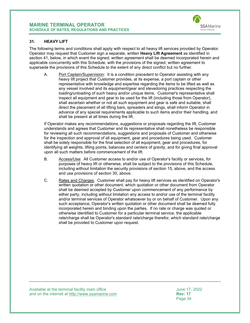

#### <span id="page-34-0"></span>**31. HEAVY LIFT**

The following terms and conditions shall apply with respect to all heavy lift services provided by Operator. Operator may request that Customer sign a separate, written **Heavy Lift Agreement** as identified in section [41,](#page-47-0) below, in which event the signed, written agreement shall be deemed incorporated herein and applicable concurrently with this Schedule, with the provisions of the signed, written agreement to supersede the provisions of this Schedule to the extent of any direct conflict but no further.

A. Port Captain/Supervision: It is a condition precedent to Operator assisting with any heavy lift project that Customer provides, at its expense, a port captain or other representative with knowledge and expertise regarding the items to be lifted as well as any vessel involved and its equipment/gear and stevedoring practices respecting the loading/unloading of such heavy and/or unique items. Customer's representative shall inspect all equipment and gear to be used for the lift (including those from Operator), shall ascertain whether or not all such equipment and gear is safe and suitable, shall direct the placement of all lifting bars, spreaders and slings, shall inform Operator in advance of any special requirements applicable to such items and/or their handling, and shall be present at all times during the lift.

If Operator makes any recommendations, suggestions or proposals regarding the lift, Customer understands and agrees that Customer and its representative shall nonetheless be responsible for reviewing all such recommendations, suggestions and proposals of Customer and otherwise for the inspection and approval of all equipment, gear and procedures being used. Customer shall be solely responsible for the final selection of all equipment, gear and procedures, for identifying all weights, lifting points, balances and centers of gravity, and for giving final approval upon all such matters before commencement of the lift.

- B. Access/Use: All Customer access to and/or use of Operator's facility or services, for purposes of heavy lift or otherwise, shall be subject to the provisions of this Schedule, including without limitation the security provisions of section [15,](#page-18-0) above, and the access and use provisions of section [30,](#page-31-2) above.
- C. Rates and Charges. Customer shall pay for heavy lift services as identified on Operator's written quotation or other document, which quotation or other document from Operator shall be deemed accepted by Customer upon commencement of any performance by either party, including without limitation any access to and/or use of the terminal facility and/or terminal services of Operator whatsoever by or on behalf of Customer. Upon any such acceptance, Operator's written quotation or other document shall be deemed fully incorporated herein and binding upon the parties. If no rate or charge was quoted or otherwise identified to Customer for a particular terminal service, the applicable rate/charge shall be Operator's standard rate/charge therefor, which standard rate/charge shall be provided to Customer upon request.

Available at the terminal facility main office<br>and on the internet at http://www.ssamarine.com<br>Rev: 17 and on the internet at <u>http://www.ssamarine.com</u><br>Page 34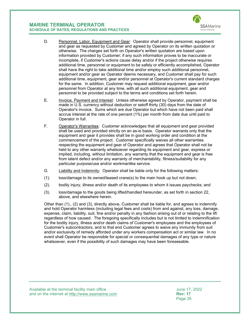

- D. Personnel, Labor, Equipment and Gear: Operator shall provide personnel, equipment and gear as requested by Customer and agreed by Operator on its written quotation or otherwise. The charges set forth on Operator's written quotation are based upon information provided by Customer; if any such information proves to be inaccurate or incomplete, if Customer's actions cause delay and/or if the project otherwise requires additional time, personnel or equipment to be safely or efficiently accomplished, Operator shall have the right to take additional time and/or employ such additional personnel, equipment and/or gear as Operator deems necessary, and Customer shall pay for such additional time, equipment, gear and/or personnel at Operator's current standard charges for the same. In addition, Customer may request additional equipment, gear and/or personnel from Operator at any time, with all such additional equipment, gear and personnel to be provided subject to the terms and conditions set forth herein.
- E. Invoice, Payment and Interest: Unless otherwise agreed by Operator, payment shall be made in U.S. currency without deduction or setoff thirty (30) days from the date of Operator's invoice. Sums which are due Operator but which have not been paid shall accrue interest at the rate of one percent (1%) per month from date due until paid to Operator in full.
- F. Operator's Warranties: Customer acknowledges that all equipment and gear provided shall be used and provided strictly on an as-is basis. Operator warrants only that the equipment and gear it provides shall be in good working order and condition at the commencement of the project. Customer specifically waives all other warranties respecting the equipment and gear of Operator and agrees that Operator shall not be held to any other warranty whatsoever regarding its equipment and gear, express or implied, including, without limitation, any warranty that the equipment and gear is free from latent defect and/or any warranty of merchantability, fitness/suitability for any particular purpose/use and/or workmanlike service.
- G. Liability and Indemnity: Operator shall be liable only for the following matters:
- (1). loss/damage to its owned/leased crane(s) to the main hook up but not down;
- (2). bodily injury, illness and/or death of its employees to whom it issues paychecks; and
- (3). loss/damage to the goods being lifted/handled hereunder, as set forth in section [22,](#page-29-2) above, and elsewhere herein.

Other than (1)., (2) and (3), directly above, Customer shall be liable for, and agrees to indemnify and hold Operator harmless (including legal fees and costs) from and against, any loss, damage, expense, claim, liability, suit, fine and/or penalty in any fashion arising out of or relating to the lift regardless of how caused. The foregoing specifically includes but is not limited to indemnification for the bodily injury, illness and/or death claims of Customer's employees and the employees of Customer's subcontractors, and to that end Customer agrees to waive any immunity from suit and/or exclusivity of remedy afforded under any workers compensation act or similar law. In no event shall Operator be responsible for special or consequential damages of any type or nature whatsoever, even if the possibility of such damages may have been foreseeable.

Available at the terminal facility main office<br>and on the internet at http://www.ssamarine.com<br>Rev: 17 and on the internet at <u>http://www.ssamarine.com</u><br>Page 35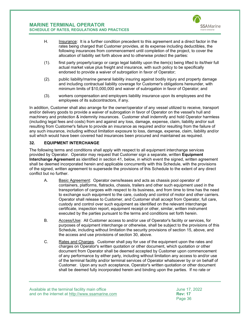

- H. Insurance: It is a further condition precedent to this agreement and a direct factor in the rates being charged that Customer provides, at its expense including deductibles, the following insurances from commencement until completion of the project, to cover the allocation of liability set forth above and to otherwise protect the parties:
- (1). first party property/cargo or cargo legal liability upon the item(s) being lifted to its/their full actual market value plus freight and insurance, with such policy to be specifically endorsed to provide a waiver of subrogation in favor of Operator;
- (2). public liability/marine general liability insuring against bodily injury and property damage and including contractual liability coverage for Customer's obligations hereunder, with minimum limits of \$10,000,000 and waiver of subrogation in favor of Operator; and
- (3). workers compensation and employers liability insurance upon its employees and the employees of its subcontractors, if any.

In addition, Customer shall also arrange for the owner/operator of any vessel utilized to receive, transport and/or delivery goods to provide a waiver of subrogation in favor of Operator on the vessel's hull and machinery and protection & indemnity insurances. Customer shall indemnify and hold Operator harmless (including legal fees and costs) from and against any loss, damage, expense, claim, liability and/or suit resulting from Customer's failure to provide an insurance as required and/or resulting from the failure of any such insurance, including without limitation exposure to loss, damage, expense, claim, liability and/or suit which would have been covered had insurances been procured and maintained as required.

## <span id="page-36-0"></span>**32. EQUIPMENT INTERCHANGE**

The following terms and conditions shall apply with respect to all equipment interchange services provided by Operator. Operator may request that Customer sign a separate, written **Equipment Interchange Agreement** as identified in section [41,](#page-47-0) below, in which event the signed, written agreement shall be deemed incorporated herein and applicable concurrently with this Schedule, with the provisions of the signed, written agreement to supersede the provisions of this Schedule to the extent of any direct conflict but no further.

- A. Basic Agreement: Operator owns/leases and acts as chassis pool operator of containers, platforms, flatracks, chassis, trailers and other such equipment used in the transportation of cargoes with respect to its business, and from time to time has the need to exchange such equipment to the care, custody and control of motor and other carriers. Operator shall release to Customer, and Customer shall accept from Operator, full care, custody and control over such equipment as identified on the relevant interchange certificate, inspection report, equipment receipt or other, similar, written instrument executed by the parties pursuant to the terms and conditions set forth herein.
- B. Access/Use: All Customer access to and/or use of Operator's facility or services, for purposes of equipment interchange or otherwise, shall be subject to the provisions of this Schedule, including without limitation the security provisions of section [15,](#page-18-0) above, and the access and use provisions of section [30,](#page-31-2) above.
- C. Rates and Charges. Customer shall pay for use of the equipment upon the rates and charges on Operator's written quotation or other document, which quotation or other document from Operator shall be deemed accepted by Customer upon commencement of any performance by either party, including without limitation any access to and/or use of the terminal facility and/or terminal services of Operator whatsoever by or on behalf of Customer. Upon any such acceptance, Operator's written quotation or other document shall be deemed fully incorporated herein and binding upon the parties. If no rate or

Available at the terminal facility main office<br>and on the internet at http://www.ssamarine.com<br>Rev: 17 and on the internet at <u>http://www.ssamarine.com</u><br>Page 36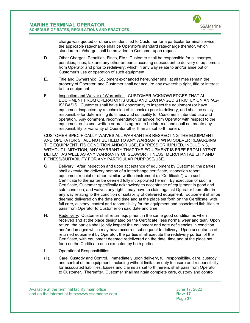

charge was quoted or otherwise identified to Customer for a particular terminal service, the applicable rate/charge shall be Operator's standard rate/charge therefor, which standard rate/charge shall be provided to Customer upon request.

- D. Other Charges; Penalties, Fines, Etc.: Customer shall be responsible for all charges, penalties, fines, tax and any other amounts accruing subsequent to delivery of equipment from Operator and prior to redelivery, which in any way relate to and/or arise out of Customer's use or operation of such equipment.
- E. Title and Ownership: Equipment exchanged hereunder shall at all times remain the property of Operator, and Customer shall not acquire any ownership right, title or interest to the equipment.
- <span id="page-37-0"></span>F. Inspection and Waiver of Warranties: CUSTOMER ACKNOWLEDGES THAT ALL EQUIPMENT FROM OPERATOR IS USED AND EXCHANGED STRICTLY ON AN "AS-IS" BASIS. Customer shall have full opportunity to inspect the equipment (or have equipment inspected by a technician of its choice) prior to delivery, and shall be solely responsible for determining its fitness and suitability for Customer's intended use and operation. Any comment, recommendation or advice from Operator with respect to the equipment or its use, written or oral, is agreed to be informal and shall not create any responsibility or warranty of Operator other than as set forth herein.

CUSTOMER SPECIFICALLY WAIVES ALL WARRANTIES RESPECTING THE EQUIPMENT AND OPERATOR SHALL NOT BE HELD TO ANY WARRANTY WHATSOEVER REGARDING THE EQUIPMENT, ITS CONDITION AND/OR USE, EXPRESS OR IMPLIED, INCLUDING, WITHOUT LIMITATION, ANY WARRANTY THAT THE EQUIPMENT IS FREE FROM LATENT DEFECT AS WELL AS ANY WARRANTY OF SEAWORTHINESS, MERCHANTABILITY AND FITNESS/SUITABILITY FOR ANY PARTICULAR PURPOSE/USE.

- G. Delivery: After inspection and upon acceptance of equipment by Customer, the parties shall execute the delivery portion of a interchange certificate, inspection report, equipment receipt or other, similar, written instrument (a "Certificate") with such Certificate to thereafter be deemed fully incorporated herein. By execution of such a Certificate, Customer specifically acknowledges acceptance of equipment in good and safe condition, and waives any right it may have to claim against Operator thereafter in any way relating to the condition or suitability of delivered equipment. Equipment shall be deemed delivered on the date and time and at the place set forth on the Certificate, with full care, custody, control and responsibility for the equipment and associated liabilities to pass from Operator to Customer on said date and time.
- H. Redelivery: Customer shall return equipment in the same good condition as when received and at the place designated on the Certificate, less normal wear and tear. Upon return, the parties shall jointly inspect the equipment and note deficiencies in condition and/or damages which may have occurred subsequent to delivery. Upon acceptance of returned equipment by Operator, the parties shall execute the redelivery portion of the Certificate, with equipment deemed redelivered on the date, time and at the place set forth on the Certificate once executed by both parties.
- I. Operational Responsibilities:
- (1). Care, Custody and Control. Immediately upon delivery, full responsibility, care, custody and control of the equipment, including without limitation duty to insure and responsibility for associated liabilities, losses and claims as set forth herein, shall pass from Operator to Customer. Thereafter, Customer shall maintain complete care, custody and control

Available at the terminal facility main office<br>and on the internet at http://www.ssamarine.com<br>Rev: 17 and on the internet at <u>http://www.ssamarine.com</u><br>Page 37

Page 37 (1999) and the contract of the contract of the contract of the contract of the contract of the contract of the contract of the contract of the contract of the contract of the contract of the contract of the contrac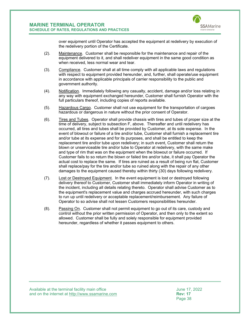

over equipment until Operator has accepted the equipment at redelivery by execution of the redelivery portion of the Certificate.

- (2). Maintenance. Customer shall be responsible for the maintenance and repair of the equipment delivered to it, and shall redeliver equipment in the same good condition as when received, less normal wear and tear.
- (3). Compliance. Customer shall at all time comply with all applicable laws and regulations with respect to equipment provided hereunder, and, further, shall operate/use equipment in accordance with applicable principals of carrier responsibility to the public and government authority.
- (4). Notification. Immediately following any casualty, accident, damage and/or loss relating in any way with equipment exchanged hereunder, Customer shall furnish Operator with the full particulars thereof, including copies of reports available.
- (5). Hazardous Cargo. Customer shall not use equipment for the transportation of cargoes hazardous or dangerous in nature without the prior consent of Operator.
- (6). Tires and Tubes. Operator shall provide chassis with tires and tubes of proper size at the time of delivery, subject to subsection [F,](#page-37-0) above. Thereafter and until redelivery has occurred, all tires and tubes shall be provided by Customer, at its sole expense. In the event of blowout or failure of a tire and/or tube, Customer shall furnish a replacement tire and/or tube at its expense and for its purposes, and shall be entitled to keep the replacement tire and/or tube upon redelivery; in such event, Customer shall return the blown or unserviceable tire and/or tube to Operator at redelivery, with the same make and type of rim that was on the equipment when the blowout or failure occurred. If Customer fails to so return the blown or failed tire and/or tube, it shall pay Operator the actual cost to replace the same. If tires are ruined as a result of being run flat, Customer shall replace/pay for the tire and/or tube so ruined along with the repair of any other damages to the equipment caused thereby within thirty (30) days following redelivery.
- (7). Lost or Destroyed Equipment. In the event equipment is lost or destroyed following delivery thereof to Customer, Customer shall immediately inform Operator in writing of the incident, including all details relating thereto. Operator shall advise Customer as to the equipment's replacement value and charges accrued hereunder, with such charges to run up until redelivery or acceptable replacement/reimbursement. Any failure of Operator to so advise shall not lessen Customers responsibilities hereunder.
- (8). Passing On. Customer shall not permit equipment to go out of its care, custody and control without the prior written permission of Operator, and then only to the extent so allowed. Customer shall be fully and solely responsible for equipment provided hereunder, regardless of whether it passes equipment to others.

Available at the terminal facility main office<br>and on the internet at http://www.ssamarine.com<br>Rev: 17 and on the internet at <u>http://www.ssamarine.com</u><br>Page 38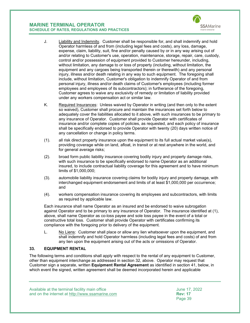

- J. Liability and Indemnity. Customer shall be responsible for, and shall indemnify and hold Operator harmless of and from (including legal fees and costs), any loss, damage, expense, claim, liability, suit, fine and/or penalty caused by or in any way arising out of and/or relating to Customer's use, operation, maintenance, storage, repair, care, custody, control and/or possession of equipment provided to Customer hereunder, including, without limitation, any damage to or loss of property (including, without limitation, the equipment and any cargoes being transported therein or therewith) and any personal injury, illness and/or death relating in any way to such equipment. The foregoing shall include, without limitation, Customer's obligation to indemnify Operator of and from personal injury, illness and/or death claims of Customer's employees (including former employees and employees of its subcontractors); in furtherance of the foregoing, Customer agrees to waive any exclusivity of remedy or limitation of liability provided under any workers compensation act or similar law.
- K. Required Insurances: Unless waived by Operator in writing (and then only to the extent so waived), Customer shall procure and maintain the insurances set forth below to adequately cover the liabilities allocated to it above, with such insurances to be primary to any insurance of Operator. Customer shall provide Operator with certificates of insurance and/or complete copies of policies, as requested, and each policy of insurance shall be specifically endorsed to provide Operator with twenty (20) days written notice of any cancellation or change in policy terms.
- (1). all risk direct property insurance upon the equipment to its full actual market value(s), providing coverage while on land, afloat, in transit or at rest anywhere in the world, and for general average risks;
- (2). broad form public liability insurance covering bodily injury and property damage risks, with such insurance to be specifically endorsed to name Operator as an additional insured, to include contractual liability coverage for this agreement and to have minimum limits of \$1,000,000;
- (3). automobile liability insurance covering claims for bodily injury and property damage, with interchanged equipment endorsement and limits of at least \$1,000,000 per occurrence; and
- (4). workers compensation insurance covering its employees and subcontractors, with limits as required by applicable law.

Each insurance shall name Operator as an insured and be endorsed to waive subrogation against Operator and to be primary to any insurance of Operator. The insurance identified at (1), above, shall name Operator as co-loss payee and sole loss payee in the event of a total or constructive total loss. Customer shall provide Operator with certificates confirming its compliance with the foregoing prior to delivery of the equipment.

L. No Liens: Customer shall place or allow any lien whatsoever upon the equipment, and shall indemnify and hold Operator harmless (including legal fees and costs) of and from any lien upon the equipment arising out of the acts or omissions of Operator.

## <span id="page-39-0"></span>**33. EQUIPMENT RENTAL**

The following terms and conditions shall apply with respect to the rental of any equipment to Customer, other than equipment interchange as addressed in section [32,](#page-36-0) above. Operator may request that Customer sign a separate, written **Equipment Rental Agreement** as identified in section [41,](#page-47-0) below, in which event the signed, written agreement shall be deemed incorporated herein and applicable

Available at the terminal facility main office June 17, 2022 and on the internet at <u>http://www.ssamarine.com</u><br>Page 39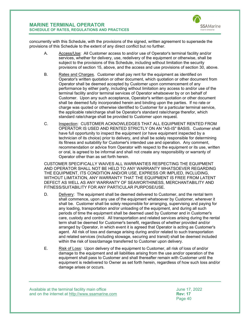

concurrently with this Schedule, with the provisions of the signed, written agreement to supersede the provisions of this Schedule to the extent of any direct conflict but no further.

- A. Access/Use: All Customer access to and/or use of Operator's terminal facility and/or services, whether for delivery, use, redelivery of the equipment or otherwise, shall be subject to the provisions of this Schedule, including without limitation the security provisions of section [15,](#page-18-0) above, and the access and use provisions of section [30,](#page-31-2) above.
- B. Rates and Charges. Customer shall pay rent for the equipment as identified on Operator's written quotation or other document, which quotation or other document from Operator shall be deemed accepted by Customer upon commencement of any performance by either party, including without limitation any access to and/or use of the terminal facility and/or terminal services of Operator whatsoever by or on behalf of Customer. Upon any such acceptance, Operator's written quotation or other document shall be deemed fully incorporated herein and binding upon the parties. If no rate or charge was quoted or otherwise identified to Customer for a particular terminal service, the applicable rate/charge shall be Operator's standard rate/charge therefor, which standard rate/charge shall be provided to Customer upon request.
- C. Inspection: CUSTOMER ACKNOWLEDGES THAT ALL EQUIPMENT RENTED FROM OPERATOR IS USED AND RENTED STRICTLY ON AN "AS-IS" BASIS. Customer shall have full opportunity to inspect the equipment (or have equipment inspected by a technician of its choice) prior to delivery, and shall be solely responsible for determining its fitness and suitability for Customer's intended use and operation. Any comment, recommendation or advice from Operator with respect to the equipment or its use, written or oral, is agreed to be informal and shall not create any responsibility or warranty of Operator other than as set forth herein.

CUSTOMER SPECIFICALLY WAIVES ALL WARRANTIES RESPECTING THE EQUIPMENT AND OPERATOR SHALL NOT BE HELD TO ANY WARRANTY WHATSOEVER REGARDING THE EQUIPMENT, ITS CONDITION AND/OR USE, EXPRESS OR IMPLIED, INCLUDING, WITHOUT LIMITATION, ANY WARRANTY THAT THE EQUIPMENT IS FREE FROM LATENT DEFECT AS WELL AS ANY WARRANTY OF SEAWORTHINESS, MERCHANTABILITY AND FITNESS/SUITABILITY FOR ANY PARTICULAR PURPOSE/USE.

- D. Delivery: The equipment shall be deemed delivered to Customer, and the rental term shall commence, upon any use of the equipment whatsoever by Customer, wherever it shall be. Customer shall be solely responsible for arranging, supervising and paying for any loading, transportation and/or unloading of the equipment, and during all such periods of time the equipment shall be deemed used by Customer and in Customer's care, custody and control. All transportation and related services arising during the rental term shall be deemed for Customer's benefit, regardless of whether provided and/or arranged by Operator, in which event it is agreed that Operator is acting as Customer's agent. All risk of loss and damage arising during and/or related to such transportation and related services (including stowage, securing and transit) shall be deemed included within the risk of loss/damage transferred to Customer upon delivery.
- E. Risk of Loss: Upon delivery of the equipment to Customer, all risk of loss of and/or damage to the equipment and all liabilities arising from the use and/or operation of the equipment shall pass to Customer and shall thereafter remain with Customer until the equipment is redelivered to Owner as set forth herein, regardless of how such loss and/or damage arises or occurs.

Available at the terminal facility main office<br>and on the internet at http://www.ssamarine.com<br>Rev: 17 and on the internet at <u>http://www.ssamarine.com</u><br>Page 40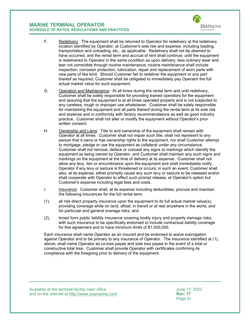

- F. Redelivery: The equipment shall be returned to Operator for redelivery at the redelivery location identified by Operator, at Customer's sole risk and expense, including loading, transportation and unloading, etc., as applicable. Redelivery shall not be deemed to have occurred, and the rental term and accrual of rent shall continue, until the equipment is redelivered to Operator in the same condition as upon delivery, less ordinary wear and tear not correctible through routine maintenance; routine maintenance shall include inspection, corrosion protection, lubrication, repair and replacement of worn parts with new parts of like kind. Should Customer fail to redeliver the equipment or any part thereof as required, Customer shall be obligated to immediately pay Operator the full actual market value for such equipment.
- G. Operation and Maintenance: At all times during the rental term and until redelivery, Customer shall be solely responsible for providing trained operators for the equipment and assuring that the equipment is at all times operated properly and is not subjected to any careless, rough or improper use whatsoever. Customer shall be solely responsible for maintaining the equipment and all parts thereof during the rental term at its sole risk and expense and in conformity with factory recommendations as well as good industry practice. Customer shall not alter or modify the equipment without Operator's prior written consent.
- H. Ownership and Liens: Title to and ownership of the equipment shall remain with Operator at all times. Customer shall not impair such title, shall not represent to any person that it owns or has ownership rights to the equipment, nor shall Customer attempt to mortgage, pledge or use the equipment as collateral under any circumstance. Customer shall not remove, deface or conceal any signs or markings which identify the equipment as being owned by Operator, and Customer shall maintain any such signs and markings on the equipment at the time of delivery at its expense. Customer shall not allow any levy, lien or encumbrance upon the equipment and shall immediately notify Operator if any levy or seizure is threatened or occurs; in such an event, Customer shall also, at its expense, either promptly cause any such levy or seizure to be released and/or shall cooperate with Operator to effect such prompt release, at Operator's option but Customer's expense including legal fees and costs.
- I. Insurance: Customer shall, at its expense including deductibles, procure and maintain the following insurances for the full rental term:
- (1). all risk direct property insurance upon the equipment to its full actual market value(s), providing coverage while on land, afloat, in transit or at rest anywhere in the world, and for particular and general average risks; and
- (2). broad form public liability insurance covering bodily injury and property damage risks, with such insurance to be specifically endorsed to include contractual liability coverage for this agreement and to have minimum limits of \$1,000,000.

Each insurance shall name Operator as an insured and be endorsed to waive subrogation against Operator and to be primary to any insurance of Operator. The insurance identified at (1), above, shall name Operator as co-loss payee and sole loss payee in the event of a total or constructive total loss. Customer shall provide Operator with certificates confirming its compliance with the foregoing prior to delivery of the equipment.

Available at the terminal facility main office June 17, 2022 and on the internet at <u>http://www.ssamarine.com</u><br>Page 41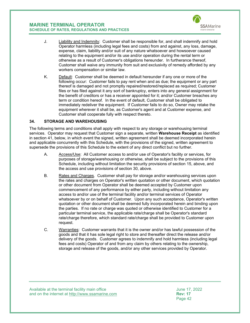

- J. Liability and Indemnity: Customer shall be responsible for, and shall indemnify and hold Operator harmless (including legal fees and costs) from and against, any loss, damage, expense, claim, liability and/or suit of any nature whatsoever and howsoever caused relating to the equipment and/or its use and/or operation during the rental term or otherwise as a result of Customer's obligations hereunder. In furtherance thereof, Customer shall waive any immunity from suit and exclusivity of remedy afforded by any workers compensation or similar law.
- K. Default: Customer shall be deemed in default hereunder if any one or more of the following occur: Customer fails to pay rent when and as due; the equipment or any part thereof is damaged and not promptly repaired/restored/replaced as required; Customer files or has filed against it any sort of bankruptcy, enters into any general assignment for the benefit of creditors or has a receiver appointed for it; and/or Customer breaches any term or condition hereof. In the event of default, Customer shall be obligated to immediately redeliver the equipment. If Customer fails to do so, Owner may retake the equipment wherever it shall be, as Customer's agent and at Customer expense, and Customer shall cooperate fully with respect thereto.

## <span id="page-42-0"></span>**34. STORAGE AND WAREHOUSING**

The following terms and conditions shall apply with respect to any storage or warehousing terminal services. Operator may request that Customer sign a separate, written **Warehouse Receipt** as identified in section [41,](#page-47-0) below, in which event the signed, written agreement shall be deemed incorporated herein and applicable concurrently with this Schedule, with the provisions of the signed, written agreement to supersede the provisions of this Schedule to the extent of any direct conflict but no further.

- A. Access/Use: All Customer access to and/or use of Operator's facility or services, for purposes of storage/warehousing or otherwise, shall be subject to the provisions of this Schedule, including without limitation the security provisions of section [15,](#page-18-0) above, and the access and use provisions of section [30,](#page-31-2) above.
- B. Rates and Charges. Customer shall pay for storage and/or warehousing services upon the rates and charges on Operator's written quotation or other document, which quotation or other document from Operator shall be deemed accepted by Customer upon commencement of any performance by either party, including without limitation any access to and/or use of the terminal facility and/or terminal services of Operator whatsoever by or on behalf of Customer. Upon any such acceptance, Operator's written quotation or other document shall be deemed fully incorporated herein and binding upon the parties. If no rate or charge was quoted or otherwise identified to Customer for a particular terminal service, the applicable rate/charge shall be Operator's standard rate/charge therefore, which standard rate/charge shall be provided to Customer upon request.
- C. Warranties: Customer warrants that it is the owner and/or has lawful possession of the goods and that it has sole legal right to store and thereafter direct the release and/or delivery of the goods. Customer agrees to indemnify and hold harmless (including legal fees and costs) Operator of and from any claim by others relating to the ownership, storage and release of the goods, and/or any other services provided by Operator.

Available at the terminal facility main office<br>and on the internet at http://www.ssamarine.com<br>Rev: 17 and on the internet at <u>http://www.ssamarine.com</u><br>Page 42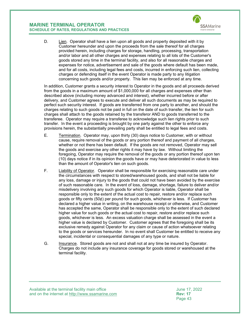

D. Lien. Operator shall have a lien upon all goods and property deposited with it by Customer hereunder and upon the proceeds from the sale thereof for all charges provided herein, including charges for storage, handling, processing, transportation and/or labor and all other charges and expenses relating to all lots of the Customer's goods stored any time in the terminal facility, and also for all reasonable charges and expenses for notice, advertisement and sale of the goods where default has been made, and for all costs, including legal fees and costs, incurred in enforcing such lien, collecting charges or defending itself in the event Operator is made party to any litigation concerning such goods and/or property. This lien may be enforced at any time.

In addition, Customer grants a security interest to Operator in the goods and all proceeds derived from the goods in a maximum amount of \$1,000,000 for all charges and expenses other than described above (including money advanced and interest), whether incurred before or after delivery, and Customer agrees to execute and deliver all such documents as may be required to perfect such security interest. If goods are transferred from one party to another, and should the charges relating to such goods not be paid in full on the date of such transfer, the lien for such charges shall attach to the goods retained by the transferor AND to goods transferred to the transferee. Operator may require a transferee to acknowledge such lien rights prior to such transfer. In the event a proceeding is brought by one party against the other to enforce any provisions herein, the substantially prevailing party shall be entitled to legal fees and costs.

- E. Termination. Operator may, upon thirty (30) days notice to Customer, with or without cause, require removal of the goods or any portion thereof and payment of all charges, whether or not there has been default. If the goods are not removed, Operator may sell the goods and exercise any other rights it may have by law. Without limiting the foregoing, Operator may require the removal of the goods or any portion thereof upon ten (10) days notice if in its opinion the goods have or may have deteriorated in value to less than the amount of Operator's lien on such goods.
- F. Liability of Operator. Operator shall be responsible for exercising reasonable care under the circumstances with respect to stored/warehoused goods, and shall not be liable for any loss, damage or injury to the goods that could not have been avoided by the exercise of such reasonable care. In the event of loss, damage, shortage, failure to deliver and/or misdelivery involving any such goods for which Operator is liable, Operator shall be responsible only to the extent of the actual cost to repair, restore and/or replace such goods or fifty cents (50¢) per pound for such goods, whichever is less. If Customer has declared a higher value in writing, on the warehouse receipt or otherwise, and Customer has accepted the same, Operator shall be responsible only to the extent of such declared higher value for such goods or the actual cost to repair, restore and/or replace such goods, whichever is less. An excess valuation charge shall be assessed in the event a higher value is declared by Customer. Customer agrees that the foregoing shall be its exclusive remedy against Operator for any claim or cause of action whatsoever relating to the goods or services hereunder. In no event shall Customer be entitled to receive any special, incidental or consequential damages of any type or nature.
- G. Insurance. Stored goods are not and shall not at any time be insured by Operator. Charges do not include any insurance coverage for goods stored or warehoused at the terminal facility.

Available at the terminal facility main office<br>and on the internet at http://www.ssamarine.com<br>Rev: 17 and on the internet at <u>http://www.ssamarine.com</u><br>Page 43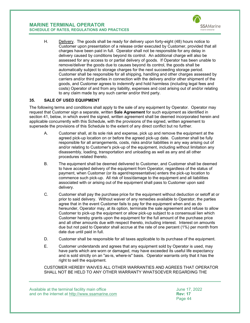

H. Delivery. The goods shall be ready for delivery upon forty-eight (48) hours notice to Customer upon presentation of a release order executed by Customer, provided that all charges have been paid in full. Operator shall not be responsible for any delay in delivery caused by conditions beyond its control. An additional charge will also be assessed for any access to or partial delivery of goods. If Operator has been unable to remove/deliver the goods due to causes beyond its control, the goods shall be automatically subject to storage charges for the next succeeding storage period. Customer shall be responsible for all shipping, handling and other charges assessed by carriers and/or third parties in connection with the delivery and/or other shipment of the goods, and Customer agrees to indemnify and hold harmless (including legal fees and costs) Operator of and from any liability, expenses and cost arising out of and/or relating to any claim made by any such carrier and/or third party.

## <span id="page-44-0"></span>**35. SALE OF USED EQUIPMENT**

The following terms and conditions shall apply to the sale of any equipment by Operator. Operator may request that Customer sign a separate, written **Sale Agreement** for such equipment as identified in section [41,](#page-47-0) below, in which event the signed, written agreement shall be deemed incorporated herein and applicable concurrently with this Schedule, with the provisions of the signed, written agreement to supersede the provisions of this Schedule to the extent of any direct conflict but no further.

- A. Customer shall, at its sole risk and expense, pick up and remove the equipment at the agreed pick-up location on or before the agreed pick-up date. Customer shall be fully responsible for all arrangements, costs, risks and/or liabilities in any way arising out of and/or relating to Customer's pick-up of the equipment, including without limitation any disassembly, loading, transportation and unloading as well as any and all other procedures related thereto.
- B. The equipment shall be deemed delivered to Customer, and Customer shall be deemed to have accepted delivery of the equipment from Operator, regardless of the status of payment, when Customer (or its agent/representative) enters the pick-up location to commence such pick-up. All risk of loss/damage to the equipment and all liabilities associated with or arising out of the equipment shall pass to Customer upon said delivery.
- C. Customer shall pay the purchase price for the equipment without deduction or setoff at or prior to said delivery. Without waiver of any remedies available to Operator, the parties agree that in the event Customer fails to pay for the equipment when and as do hereunder, Operator may, at its option, terminate the sale agreement and refuse to allow Customer to pick-up the equipment or allow pick-up subject to a consensual lien which Customer hereby grants upon the equipment for the full amount of the purchase price and all other amounts due with respect thereto, including interest. Interest on amounts due but not paid to Operator shall accrue at the rate of one percent (1%) per month from date due until paid in full.
- D. Customer shall be responsible for all taxes applicable to its purchase of the equipment.
- E. Customer understands and agrees that any equipment sold by Operator is used, may have parts which are worn or damaged, may have exceeded its useful life expectancy and is sold strictly on an "as-is, where-is" basis. Operator warrants only that it has the right to sell the equipment.

CUSTOMER HEREBY WAIVES ALL OTHER WARRANTIES AND AGREES THAT OPERATOR SHALL NOT BE HELD TO ANY OTHER WARRANTY WHATSOEVER REGARDING THE

Available at the terminal facility main office<br>and on the internet at http://www.ssamarine.com<br>Rev: 17 and on the internet at <u>http://www.ssamarine.com</u><br>Page 44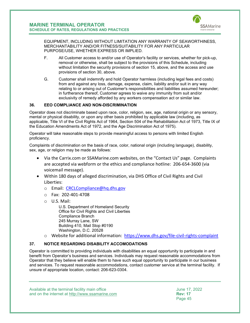

EQUIPMENT, INCLUDING WITHOUT LIMITATION ANY WARRANTY OF SEAWORTHINESS, MERCHANTABILITY AND/OR FITNESS/SUITABILITY FOR ANY PARTICULAR PURPOSE/USE, WHETHER EXPRESS OR IMPLIED.

- F. All Customer access to and/or use of Operator's facility or services, whether for pick-up, removal or otherwise, shall be subject to the provisions of this Schedule, including without limitation the security provisions of section [15,](#page-18-0) above, and the access and use provisions of section [30,](#page-31-2) above.
- G. Customer shall indemnify and hold Operator harmless (including legal fees and costs) from and against any loss, damage, expense, claim, liability and/or suit in any way relating to or arising out of Customer's responsibilities and liabilities assumed hereunder; in furtherance thereof, Customer agrees to waive any immunity from suit and/or exclusivity of remedy afforded by any workers compensation act or similar law.

## <span id="page-45-0"></span>**36. EEO COMPLIANCE AND NON-DISCRIMINATION**

Operator does not discriminate based upon race, color, religion, sex, age, national origin or any sensory, mental or physical disability, or upon any other basis prohibited by applicable law (including, as applicable, Title VI of the Civil Rights Act of 1964, Section 504 of the Rehabilitation Act of 1973, Title IX of the Education Amendments Act of 1972, and the Age Discrimination Act of 1975).

Operator will take reasonable steps to provide meaningful access to persons with limited English proficiency.

Complaints of discrimination on the basis of race, color, national origin (including language), disability, sex, age, or religion may be made as follows:

- Via the Carrix.com or SSAMarine.com websites, on the "Contact Us" page. Complaints are accepted via webform or the ethics and compliance hotline: 206-654-3600 (via voicemail message).
- Within 180 days of alleged discrimination, via DHS Office of Civil Rights and Civil Liberties:
	- o Email: [CRCLCompliance@hq.dhs.gov](mailto:CRCLCompliance@hq.dhs.gov)
	- o Fax: 202-401-4708
	- o U.S. Mail:

U.S. Department of Homeland Security Office for Civil Rights and Civil Liberties Compliance Branch 245 Murray Lane, SW Building 410, Mail Stop #0190 Washington, D.C. 20528

o Website for additional information: <https://www.dhs.gov/file-civil-rights-complaint>

## <span id="page-45-1"></span>**37. NOTICE REGARDING DISABILITY ACCOMODATIONS**

Operator is committed to providing individuals with disabilities an equal opportunity to participate in and benefit from Operator's business and services. Individuals may request reasonable accommodations from Operator that they believe will enable them to have such equal opportunity to participate in our business and services. To request reasonable accommodations, contact customer service at the terminal facility. If unsure of appropriate location, contact: 206-623-0304.

Available at the terminal facility main office June 17, 2022 and on the internet at <u>http://www.ssamarine.com</u><br>Page 45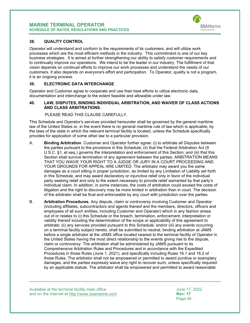

## <span id="page-46-0"></span>**38. QUALITY CONTROL**

Operator will understand and conform to the requirements of its customers, and will utilize work processes which are the most efficient methods in the industry. This commitment is one of our key business strategies. It is aimed at further strengthening our ability to satisfy customer requirements and to continually improve our operations. We intend to be the leader in our industry. The fulfillment of that vision depends on continual efforts to improve our work processes and understand the needs of our customers. It also depends on everyone's effort and participation. To Operator, quality is not a program, it is an ongoing process.

#### <span id="page-46-1"></span>**39. ELECTRONIC DATA INTERCHANGE**

Operator and Customer agree to cooperate and use their best efforts to utilize electronic data, documentation and interchange to the extent feasible and allowable under law.

#### <span id="page-46-2"></span>**40. LAW, DISPUTES, BINDING INDIVIDUAL ARBITRATION, AND WAIVER OF CLASS ACTIONS AND CLASS ARBITRATIONS.**

#### PLEASE READ THIS CLAUSE CAREFULLY.

This Schedule and Operator's services provided hereunder shall be governed by the general maritime law of the United States or, in the event there is no general maritime rule of law which is applicable, by the laws of the state in which the relevant terminal facility is located, unless the Schedule specifically provides for application of some other law to a particular provision.

- A. **Binding Arbitration**. Customer and Operator further agree: (i) to arbitrate all Disputes between the parties pursuant to the provisions in this Schedule; (ii) that the Federal Arbitration Act (9 U.S.C. §1, et seq.) governs the interpretation and enforcement of this Section; and (iii) that this Section shall survive termination of any agreement between the parties. ARBITRATION MEANS THAT YOU WAIVE YOUR RIGHT TO A JUDGE OR JURY IN A COURT PROCEEDING AND YOUR GROUNDS FOR APPEAL ARE LIMITED. The arbitrator may award you the same damages as a court sitting in proper jurisdiction, as limited by any Limitation of Liability set forth in this Schedule, and may award declaratory or injunctive relief only in favor of the individual party seeking relief and only to the extent necessary to provide relief warranted by that party's individual claim. In addition, in some instances, the costs of arbitration could exceed the costs of litigation and the right to discovery may be more limited in arbitration than in court. The decision of the arbitrator shall be final and enforceable by any court with jurisdiction over the parties.
- B. **Arbitration Procedures**. Any dispute, claim or controversy involving Customer and Operator (including affiliates, subcontractors and agents thereof and the members, directors, officers and employees of all such entities, including Customer and Operator) which in any fashion arises out of or relates to (i) this Schedule or the breach, termination, enforcement, interpretation or validity thereof including the determination of the scope or applicability of this agreement to arbitrate; (ii) any services provided pursuant to this Schedule; and/or (iii) any events occurring on a terminal facility subject hereto, shall be submitted to neutral, binding arbitration at JAMS before a single arbitrator at the JAMS office located nearest to the terminal facility of Operator in the United States having the most direct relationship to the events giving rise to the dispute, claim or controversy. The arbitration shall be administered by JAMS pursuant to its Comprehensive Arbitration Rules and Procedures and in accordance with the Expedited Procedures in those Rules (June 1, 2021), and specifically including Rules 16.1 and 16.2 of those Rules. The arbitrator shall not be empowered or permitted to award punitive or exemplary damages, and the parties expressly waive any right to recover such, unless specifically required by an applicable statute. The arbitrator shall be empowered and permitted to award reasonable

Available at the terminal facility main office<br>and on the internet at http://www.ssamarine.com<br>Rev: 17 and on the internet at <u>http://www.ssamarine.com</u> **Rev: 17**<br>Page 46